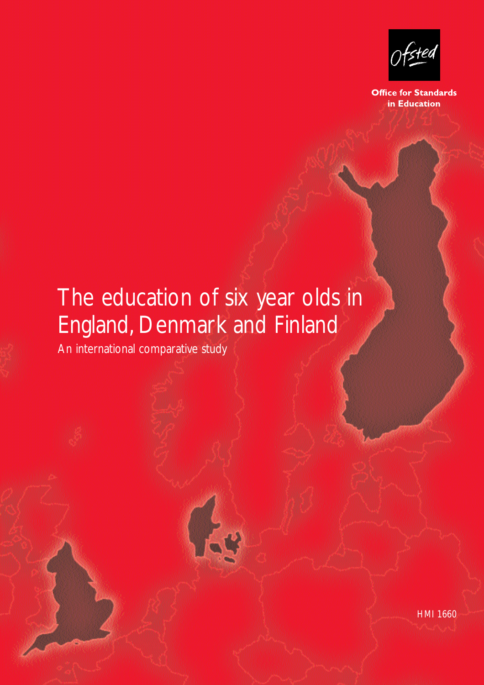An international comparitive study

**Office for Standards** in Education

# The education of six year olds in England, Denmark and Finland

An international comparative study

HMI 1660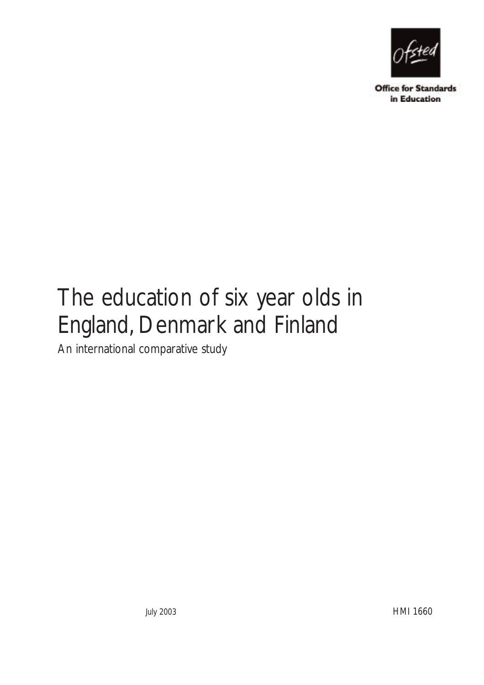

**Office for Standards** in Education

# The education of six year olds in England, Denmark and Finland

An international comparative study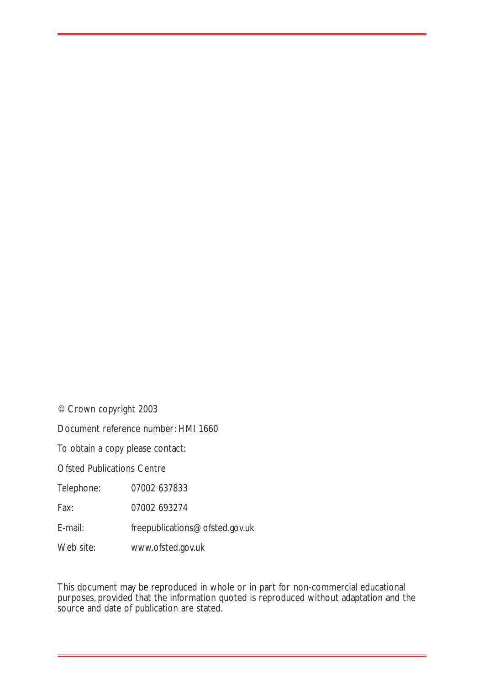© Crown copyright 2003

Document reference number: HMI 1660

To obtain a copy please contact:

Ofsted Publications Centre

Telephone: 07002 637833

Fax: 07002 693274

E-mail: freepublications@ofsted.gov.uk

Web site: www.ofsted.gov.uk

This document may be reproduced in whole or in part for non-commercial educational purposes, provided that the information quoted is reproduced without adaptation and the source and date of publication are stated.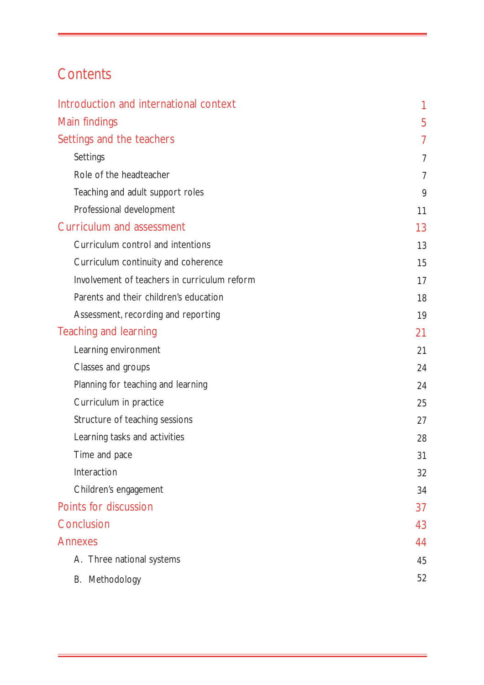# **Contents**

| Introduction and international context       | 1              |
|----------------------------------------------|----------------|
| Main findings                                | 5              |
| Settings and the teachers                    | 7              |
| Settings                                     | 7              |
| Role of the headteacher                      | $\overline{7}$ |
| Teaching and adult support roles             | 9              |
| Professional development                     | 11             |
| <b>Curriculum and assessment</b>             | 13             |
| Curriculum control and intentions            | 13             |
| Curriculum continuity and coherence          | 15             |
| Involvement of teachers in curriculum reform | 17             |
| Parents and their children's education       | 18             |
| Assessment, recording and reporting          | 19             |
| Teaching and learning                        | 21             |
| Learning environment                         | 21             |
| Classes and groups                           | 24             |
| Planning for teaching and learning           | 24             |
| Curriculum in practice                       | 25             |
| Structure of teaching sessions               | 27             |
| Learning tasks and activities                | 28             |
| Time and pace                                | 31             |
| Interaction                                  | 32             |
| Children's engagement                        | 34             |
| Points for discussion                        | 37             |
| Conclusion                                   | 43             |
| <b>Annexes</b>                               | 44             |
| A. Three national systems                    | 45             |
| B. Methodology                               | 52             |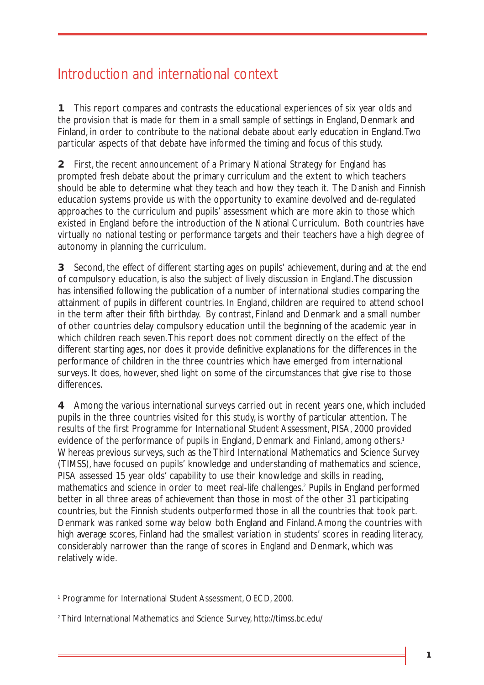# Introduction and international context

**1** This report compares and contrasts the educational experiences of six year olds and the provision that is made for them in a small sample of settings in England, Denmark and Finland, in order to contribute to the national debate about early education in England.Two particular aspects of that debate have informed the timing and focus of this study.

**2** First, the recent announcement of a Primary National Strategy for England has prompted fresh debate about the primary curriculum and the extent to which teachers should be able to determine what they teach and how they teach it. The Danish and Finnish education systems provide us with the opportunity to examine devolved and de-regulated approaches to the curriculum and pupils' assessment which are more akin to those which existed in England before the introduction of the National Curriculum. Both countries have virtually no national testing or performance targets and their teachers have a high degree of autonomy in planning the curriculum.

**3** Second, the effect of different starting ages on pupils' achievement, during and at the end of compulsory education, is also the subject of lively discussion in England.The discussion has intensified following the publication of a number of international studies comparing the attainment of pupils in different countries. In England, children are required to attend school in the term after their fifth birthday. By contrast, Finland and Denmark and a small number of other countries delay compulsory education until the beginning of the academic year in which children reach seven.This report does not comment directly on the effect of the different starting ages, nor does it provide definitive explanations for the differences in the performance of children in the three countries which have emerged from international surveys. It does, however, shed light on some of the circumstances that give rise to those differences.

**4** Among the various international surveys carried out in recent years one, which included pupils in the three countries visited for this study, is worthy of particular attention. The results of the first Programme for International Student Assessment, PISA, 2000 provided evidence of the performance of pupils in England, Denmark and Finland, among others.<sup>1</sup> Whereas previous surveys, such as the Third International Mathematics and Science Survey (TIMSS), have focused on pupils' knowledge and understanding of mathematics and science, PISA assessed 15 year olds' capability to use their knowledge and skills in reading, mathematics and science in order to meet real-life challenges.2 Pupils in England performed better in all three areas of achievement than those in most of the other 31 participating countries, but the Finnish students outperformed those in all the countries that took part. Denmark was ranked some way below both England and Finland.Among the countries with high average scores, Finland had the smallest variation in students' scores in reading literacy, considerably narrower than the range of scores in England and Denmark, which was relatively wide.

<sup>&</sup>lt;sup>1</sup> Programme for International Student Assessment, OECD, 2000.

<sup>2</sup> Third International Mathematics and Science Survey, http://timss.bc.edu/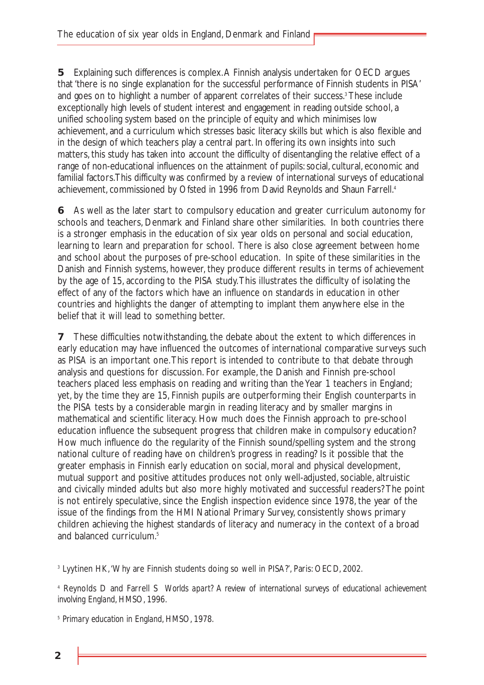**5** Explaining such differences is complex.A Finnish analysis undertaken for OECD argues that 'there is no single explanation for the successful performance of Finnish students in PISA' and goes on to highlight a number of apparent correlates of their success.<sup>3</sup> These include exceptionally high levels of student interest and engagement in reading outside school, a unified schooling system based on the principle of equity and which minimises low achievement, and a curriculum which stresses basic literacy skills but which is also flexible and in the design of which teachers play a central part. In offering its own insights into such matters, this study has taken into account the difficulty of disentangling the relative effect of a range of non-educational influences on the attainment of pupils: social, cultural, economic and familial factors.This difficulty was confirmed by a review of international surveys of educational achievement, commissioned by Ofsted in 1996 from David Reynolds and Shaun Farrell.<sup>4</sup>

**6** As well as the later start to compulsory education and greater curriculum autonomy for schools and teachers, Denmark and Finland share other similarities. In both countries there is a stronger emphasis in the education of six year olds on personal and social education, learning to learn and preparation for school. There is also close agreement between home and school about the purposes of pre-school education. In spite of these similarities in the Danish and Finnish systems, however, they produce different results in terms of achievement by the age of 15, according to the PISA study.This illustrates the difficulty of isolating the effect of any of the factors which have an influence on standards in education in other countries and highlights the danger of attempting to implant them anywhere else in the belief that it will lead to something better.

**7** These difficulties notwithstanding, the debate about the extent to which differences in early education may have influenced the outcomes of international comparative surveys such as PISA is an important one.This report is intended to contribute to that debate through analysis and questions for discussion. For example, the Danish and Finnish pre-school teachers placed less emphasis on reading and writing than the Year 1 teachers in England; yet, by the time they are 15, Finnish pupils are outperforming their English counterparts in the PISA tests by a considerable margin in reading literacy and by smaller margins in mathematical and scientific literacy. How much does the Finnish approach to pre-school education influence the subsequent progress that children make in compulsory education? How much influence do the regularity of the Finnish sound/spelling system and the strong national culture of reading have on children's progress in reading? Is it possible that the greater emphasis in Finnish early education on social, moral and physical development, mutual support and positive attitudes produces not only well-adjusted, sociable, altruistic and civically minded adults but also more highly motivated and successful readers? The point is not entirely speculative, since the English inspection evidence since 1978, the year of the issue of the findings from the HMI National Primary Survey, consistently shows primary children achieving the highest standards of literacy and numeracy in the context of a broad and balanced curriculum.<sup>5</sup>

<sup>3</sup> Lyytinen HK,'Why are Finnish students doing so well in PISA?', Paris: OECD, 2002.

<sup>4</sup> Reynolds D and Farrell S *Worlds apart? A review of international surveys of educational achievement involving England*, HMSO, 1996.

<sup>5</sup> *Primary education in England*, HMSO, 1978.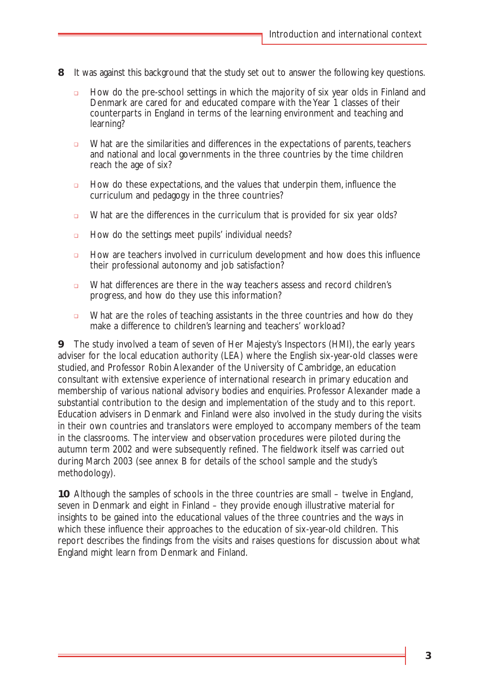- **8** It was against this background that the study set out to answer the following key questions.
	- ❏ How do the pre-school settings in which the majority of six year olds in Finland and Denmark are cared for and educated compare with the Year 1 classes of their counterparts in England in terms of the learning environment and teaching and learning?
	- ❏ What are the similarities and differences in the expectations of parents, teachers and national and local governments in the three countries by the time children reach the age of six?
	- ❏ How do these expectations, and the values that underpin them, influence the curriculum and pedagogy in the three countries?
	- ❏ What are the differences in the curriculum that is provided for six year olds?
	- ❏ How do the settings meet pupils' individual needs?
	- ❏ How are teachers involved in curriculum development and how does this influence their professional autonomy and job satisfaction?
	- ❏ What differences are there in the way teachers assess and record children's progress, and how do they use this information?
	- ❏ What are the roles of teaching assistants in the three countries and how do they make a difference to children's learning and teachers' workload?

**9** The study involved a team of seven of Her Majesty's Inspectors (HMI), the early years adviser for the local education authority (LEA) where the English six-year-old classes were studied, and Professor Robin Alexander of the University of Cambridge, an education consultant with extensive experience of international research in primary education and membership of various national advisory bodies and enquiries. Professor Alexander made a substantial contribution to the design and implementation of the study and to this report. Education advisers in Denmark and Finland were also involved in the study during the visits in their own countries and translators were employed to accompany members of the team in the classrooms. The interview and observation procedures were piloted during the autumn term 2002 and were subsequently refined. The fieldwork itself was carried out during March 2003 (see annex B for details of the school sample and the study's methodology).

**10** Although the samples of schools in the three countries are small – twelve in England, seven in Denmark and eight in Finland – they provide enough illustrative material for insights to be gained into the educational values of the three countries and the ways in which these influence their approaches to the education of six-year-old children. This report describes the findings from the visits and raises questions for discussion about what England might learn from Denmark and Finland.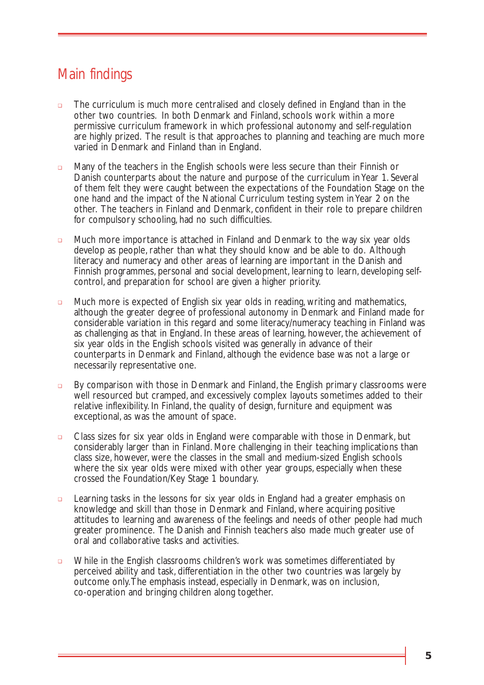# Main findings

- ❏ The curriculum is much more centralised and closely defined in England than in the other two countries. In both Denmark and Finland, schools work within a more permissive curriculum framework in which professional autonomy and self-regulation are highly prized. The result is that approaches to planning and teaching are much more varied in Denmark and Finland than in England.
- ❏ Many of the teachers in the English schools were less secure than their Finnish or Danish counterparts about the nature and purpose of the curriculum in Year 1. Several of them felt they were caught between the expectations of the Foundation Stage on the one hand and the impact of the National Curriculum testing system in Year 2 on the other. The teachers in Finland and Denmark, confident in their role to prepare children for compulsory schooling, had no such difficulties.
- ❏ Much more importance is attached in Finland and Denmark to the way six year olds develop as people, rather than what they should know and be able to do. Although literacy and numeracy and other areas of learning are important in the Danish and Finnish programmes, personal and social development, learning to learn, developing selfcontrol, and preparation for school are given a higher priority.
- ❏ Much more is expected of English six year olds in reading, writing and mathematics, although the greater degree of professional autonomy in Denmark and Finland made for considerable variation in this regard and some literacy/numeracy teaching in Finland was as challenging as that in England. In these areas of learning, however, the achievement of six year olds in the English schools visited was generally in advance of their counterparts in Denmark and Finland, although the evidence base was not a large or necessarily representative one.
- ❏ By comparison with those in Denmark and Finland, the English primary classrooms were well resourced but cramped, and excessively complex layouts sometimes added to their relative inflexibility. In Finland, the quality of design, furniture and equipment was exceptional, as was the amount of space.
- ❏ Class sizes for six year olds in England were comparable with those in Denmark, but considerably larger than in Finland. More challenging in their teaching implications than class size, however, were the classes in the small and medium-sized English schools where the six year olds were mixed with other year groups, especially when these crossed the Foundation/Key Stage 1 boundary.
- ❏ Learning tasks in the lessons for six year olds in England had a greater emphasis on knowledge and skill than those in Denmark and Finland, where acquiring positive attitudes to learning and awareness of the feelings and needs of other people had much greater prominence. The Danish and Finnish teachers also made much greater use of oral and collaborative tasks and activities.
- ❏ While in the English classrooms children's work was sometimes differentiated by perceived ability and task, differentiation in the other two countries was largely by outcome only.The emphasis instead, especially in Denmark, was on inclusion, co-operation and bringing children along together.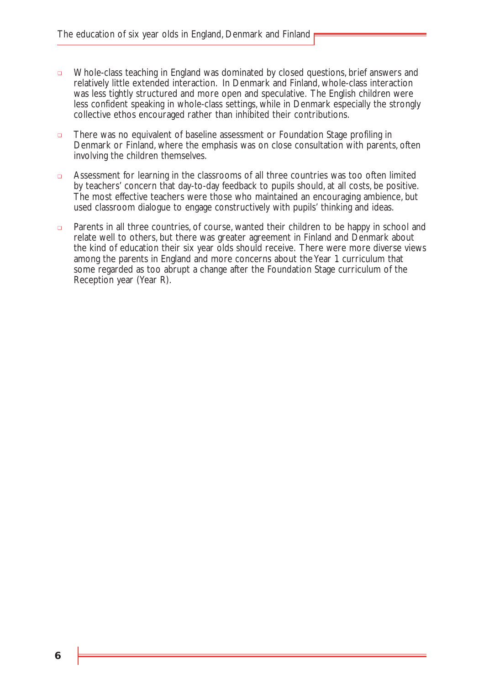- ❏ Whole-class teaching in England was dominated by closed questions, brief answers and relatively little extended interaction. In Denmark and Finland, whole-class interaction was less tightly structured and more open and speculative. The English children were less confident speaking in whole-class settings, while in Denmark especially the strongly collective ethos encouraged rather than inhibited their contributions.
- ❏ There was no equivalent of baseline assessment or Foundation Stage profiling in Denmark or Finland, where the emphasis was on close consultation with parents, often involving the children themselves.
- ❏ Assessment for learning in the classrooms of all three countries was too often limited by teachers' concern that day-to-day feedback to pupils should, at all costs, be positive. The most effective teachers were those who maintained an encouraging ambience, but used classroom dialogue to engage constructively with pupils' thinking and ideas.
- ❏ Parents in all three countries, of course, wanted their children to be happy in school and relate well to others, but there was greater agreement in Finland and Denmark about the kind of education their six year olds should receive. There were more diverse views among the parents in England and more concerns about the Year 1 curriculum that some regarded as too abrupt a change after the Foundation Stage curriculum of the Reception year (Year R).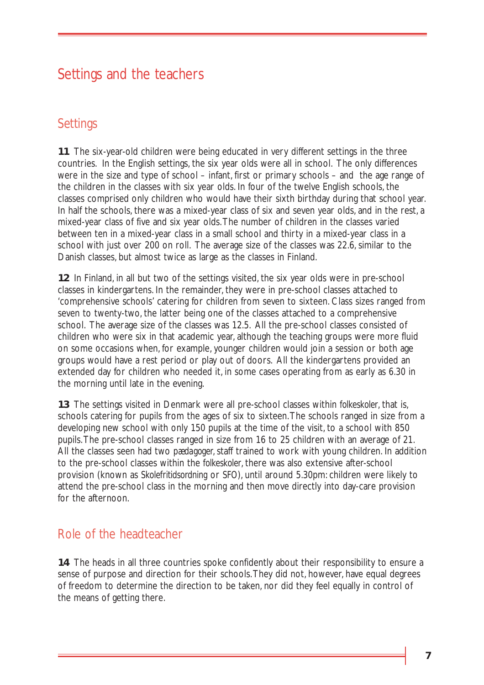# Settings and the teachers

### **Settings**

**11** The six-year-old children were being educated in very different settings in the three countries. In the English settings, the six year olds were all in school. The only differences were in the size and type of school – infant, first or primary schools – and the age range of the children in the classes with six year olds. In four of the twelve English schools, the classes comprised only children who would have their sixth birthday during that school year. In half the schools, there was a mixed-year class of six and seven year olds, and in the rest, a mixed-year class of five and six year olds.The number of children in the classes varied between ten in a mixed-year class in a small school and thirty in a mixed-year class in a school with just over 200 on roll. The average size of the classes was 22.6, similar to the Danish classes, but almost twice as large as the classes in Finland.

**12** In Finland, in all but two of the settings visited, the six year olds were in pre-school classes in kindergartens. In the remainder, they were in pre-school classes attached to 'comprehensive schools' catering for children from seven to sixteen. Class sizes ranged from seven to twenty-two, the latter being one of the classes attached to a comprehensive school. The average size of the classes was 12.5. All the pre-school classes consisted of children who were six in that academic year, although the teaching groups were more fluid on some occasions when, for example, younger children would join a session or both age groups would have a rest period or play out of doors. All the kindergartens provided an extended day for children who needed it, in some cases operating from as early as 6.30 in the morning until late in the evening.

**13** The settings visited in Denmark were all pre-school classes within *folkeskoler*, that is, schools catering for pupils from the ages of six to sixteen.The schools ranged in size from a developing new school with only 150 pupils at the time of the visit, to a school with 850 pupils.The pre-school classes ranged in size from 16 to 25 children with an average of 21. All the classes seen had two *pædagoger,* staff trained to work with young children. In addition to the pre-school classes within the *folkeskoler*, there was also extensive after-school provision (known as *Skolefritidsordning* or *SFO*), until around 5.30pm: children were likely to attend the pre-school class in the morning and then move directly into day-care provision for the afternoon.

# Role of the headteacher

**14** The heads in all three countries spoke confidently about their responsibility to ensure a sense of purpose and direction for their schools.They did not, however, have equal degrees of freedom to determine the direction to be taken, nor did they feel equally in control of the means of getting there.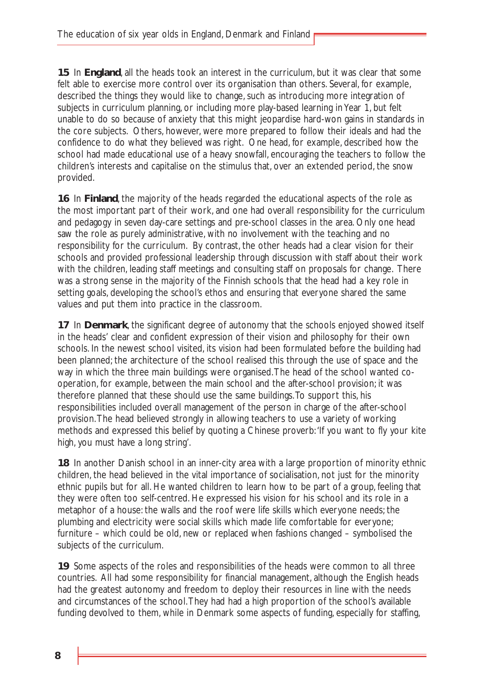**15** In **England**, all the heads took an interest in the curriculum, but it was clear that some felt able to exercise more control over its organisation than others. Several, for example, described the things they would like to change, such as introducing more integration of subjects in curriculum planning, or including more play-based learning in Year 1, but felt unable to do so because of anxiety that this might jeopardise hard-won gains in standards in the core subjects. Others, however, were more prepared to follow their ideals and had the confidence to do what they believed was right. One head, for example, described how the school had made educational use of a heavy snowfall, encouraging the teachers to follow the children's interests and capitalise on the stimulus that, over an extended period, the snow provided.

**16** In **Finland**, the majority of the heads regarded the educational aspects of the role as the most important part of their work, and one had overall responsibility for the curriculum and pedagogy in seven day-care settings and pre-school classes in the area. Only one head saw the role as purely administrative, with no involvement with the teaching and no responsibility for the curriculum. By contrast, the other heads had a clear vision for their schools and provided professional leadership through discussion with staff about their work with the children, leading staff meetings and consulting staff on proposals for change. There was a strong sense in the majority of the Finnish schools that the head had a key role in setting goals, developing the school's ethos and ensuring that everyone shared the same values and put them into practice in the classroom.

**17** In **Denmark**, the significant degree of autonomy that the schools enjoyed showed itself in the heads' clear and confident expression of their vision and philosophy for their own schools. In the newest school visited, its vision had been formulated before the building had been planned; the architecture of the school realised this through the use of space and the way in which the three main buildings were organised.The head of the school wanted cooperation, for example, between the main school and the after-school provision; it was therefore planned that these should use the same buildings.To support this, his responsibilities included overall management of the person in charge of the after-school provision.The head believed strongly in allowing teachers to use a variety of working methods and expressed this belief by quoting a Chinese proverb:'If you want to fly your kite high, you must have a long string'.

**18** In another Danish school in an inner-city area with a large proportion of minority ethnic children, the head believed in the vital importance of socialisation, not just for the minority ethnic pupils but for all. He wanted children to learn how to be part of a group, feeling that they were often too self-centred. He expressed his vision for his school and its role in a metaphor of a house: the walls and the roof were life skills which everyone needs; the plumbing and electricity were social skills which made life comfortable for everyone; furniture – which could be old, new or replaced when fashions changed – symbolised the subjects of the curriculum.

**19** Some aspects of the roles and responsibilities of the heads were common to all three countries. All had some responsibility for financial management, although the English heads had the greatest autonomy and freedom to deploy their resources in line with the needs and circumstances of the school.They had had a high proportion of the school's available funding devolved to them, while in Denmark some aspects of funding, especially for staffing,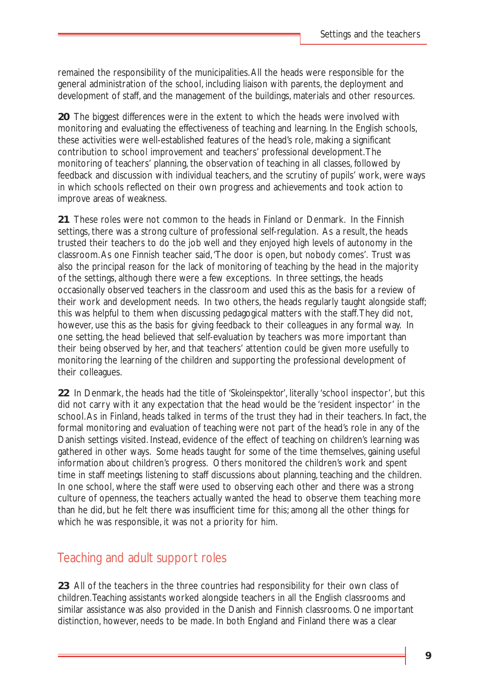remained the responsibility of the municipalities.All the heads were responsible for the general administration of the school, including liaison with parents, the deployment and development of staff, and the management of the buildings, materials and other resources.

**20** The biggest differences were in the extent to which the heads were involved with monitoring and evaluating the effectiveness of teaching and learning. In the English schools, these activities were well-established features of the head's role, making a significant contribution to school improvement and teachers' professional development.The monitoring of teachers' planning, the observation of teaching in all classes, followed by feedback and discussion with individual teachers, and the scrutiny of pupils' work, were ways in which schools reflected on their own progress and achievements and took action to improve areas of weakness.

**21** These roles were not common to the heads in Finland or Denmark. In the Finnish settings, there was a strong culture of professional self-regulation. As a result, the heads trusted their teachers to do the job well and they enjoyed high levels of autonomy in the classroom.As one Finnish teacher said,'The door is open, but nobody comes'. Trust was also the principal reason for the lack of monitoring of teaching by the head in the majority of the settings, although there were a few exceptions. In three settings, the heads occasionally observed teachers in the classroom and used this as the basis for a review of their work and development needs. In two others, the heads regularly taught alongside staff; this was helpful to them when discussing pedagogical matters with the staff.They did not, however, use this as the basis for giving feedback to their colleagues in any formal way. In one setting, the head believed that self-evaluation by teachers was more important than their being observed by her, and that teachers' attention could be given more usefully to monitoring the learning of the children and supporting the professional development of their colleagues.

**22** In Denmark, the heads had the title of *'Skoleinspektor'*, literally 'school inspector', but this did not carry with it any expectation that the head would be the 'resident inspector' in the school.As in Finland, heads talked in terms of the trust they had in their teachers. In fact, the formal monitoring and evaluation of teaching were not part of the head's role in any of the Danish settings visited. Instead, evidence of the effect of teaching on children's learning was gathered in other ways. Some heads taught for some of the time themselves, gaining useful information about children's progress. Others monitored the children's work and spent time in staff meetings listening to staff discussions about planning, teaching and the children. In one school, where the staff were used to observing each other and there was a strong culture of openness, the teachers actually wanted the head to observe them teaching more than he did, but he felt there was insufficient time for this; among all the other things for which he was responsible, it was not a priority for him.

### Teaching and adult support roles

**23** All of the teachers in the three countries had responsibility for their own class of children.Teaching assistants worked alongside teachers in all the English classrooms and similar assistance was also provided in the Danish and Finnish classrooms. One important distinction, however, needs to be made. In both England and Finland there was a clear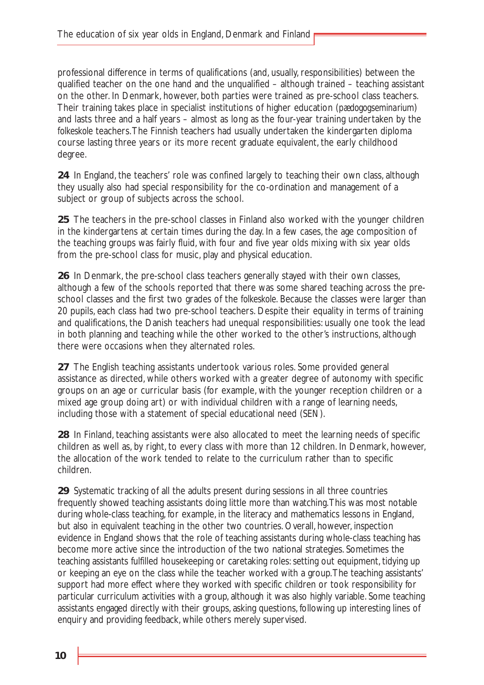professional difference in terms of qualifications (and, usually, responsibilities) between the qualified teacher on the one hand and the unqualified – although trained – teaching assistant on the other. In Denmark, however, both parties were trained as pre-school class teachers. Their training takes place in specialist institutions of higher education (*pædogogseminarium*) and lasts three and a half years – almost as long as the four-year training undertaken by the *folkeskole* teachers.The Finnish teachers had usually undertaken the kindergarten diploma course lasting three years or its more recent graduate equivalent, the early childhood degree.

**24** In England, the teachers' role was confined largely to teaching their own class, although they usually also had special responsibility for the co-ordination and management of a subject or group of subjects across the school.

**25** The teachers in the pre-school classes in Finland also worked with the younger children in the kindergartens at certain times during the day. In a few cases, the age composition of the teaching groups was fairly fluid, with four and five year olds mixing with six year olds from the pre-school class for music, play and physical education.

**26** In Denmark, the pre-school class teachers generally stayed with their own classes, although a few of the schools reported that there was some shared teaching across the preschool classes and the first two grades of the *folkeskole*. Because the classes were larger than 20 pupils, each class had two pre-school teachers. Despite their equality in terms of training and qualifications, the Danish teachers had unequal responsibilities: usually one took the lead in both planning and teaching while the other worked to the other's instructions, although there were occasions when they alternated roles.

**27** The English teaching assistants undertook various roles. Some provided general assistance as directed, while others worked with a greater degree of autonomy with specific groups on an age or curricular basis (for example, with the younger reception children or a mixed age group doing art) or with individual children with a range of learning needs, including those with a statement of special educational need (SEN).

**28** In Finland, teaching assistants were also allocated to meet the learning needs of specific children as well as, by right, to every class with more than 12 children. In Denmark, however, the allocation of the work tended to relate to the curriculum rather than to specific children.

**29** Systematic tracking of all the adults present during sessions in all three countries frequently showed teaching assistants doing little more than watching.This was most notable during whole-class teaching, for example, in the literacy and mathematics lessons in England, but also in equivalent teaching in the other two countries. Overall, however, inspection evidence in England shows that the role of teaching assistants during whole-class teaching has become more active since the introduction of the two national strategies. Sometimes the teaching assistants fulfilled housekeeping or caretaking roles: setting out equipment, tidying up or keeping an eye on the class while the teacher worked with a group.The teaching assistants' support had more effect where they worked with specific children or took responsibility for particular curriculum activities with a group, although it was also highly variable. Some teaching assistants engaged directly with their groups, asking questions, following up interesting lines of enquiry and providing feedback, while others merely supervised.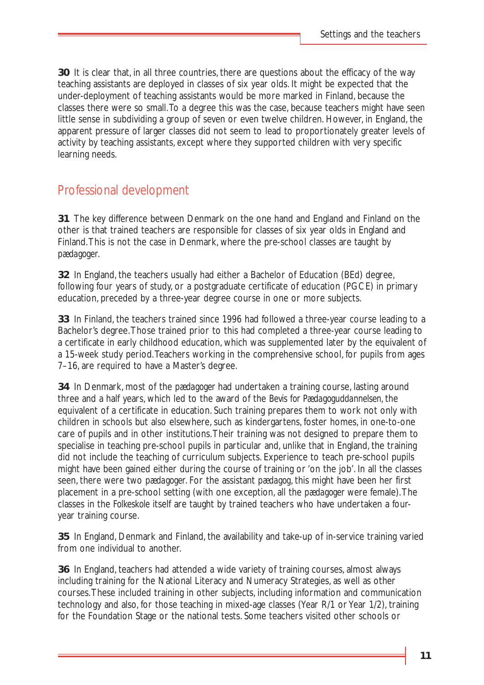**30** It is clear that, in all three countries, there are questions about the efficacy of the way teaching assistants are deployed in classes of six year olds. It might be expected that the under-deployment of teaching assistants would be more marked in Finland, because the classes there were so small.To a degree this was the case, because teachers might have seen little sense in subdividing a group of seven or even twelve children. However, in England, the apparent pressure of larger classes did not seem to lead to proportionately greater levels of activity by teaching assistants, except where they supported children with very specific learning needs.

### Professional development

**31** The key difference between Denmark on the one hand and England and Finland on the other is that trained teachers are responsible for classes of six year olds in England and Finland.This is not the case in Denmark, where the pre-school classes are taught by *pædagoger*.

**32** In England, the teachers usually had either a Bachelor of Education (BEd) degree, following four years of study, or a postgraduate certificate of education (PGCE) in primary education, preceded by a three-year degree course in one or more subjects.

**33** In Finland, the teachers trained since 1996 had followed a three-year course leading to a Bachelor's degree.Those trained prior to this had completed a three-year course leading to a certificate in early childhood education, which was supplemented later by the equivalent of a 15-week study period.Teachers working in the comprehensive school, for pupils from ages 7–16, are required to have a Master's degree.

**34** In Denmark, most of the *pædagoger* had undertaken a training course, lasting around three and a half years, which led to the award of the *Bevis for Pædagoguddannelsen,* the equivalent of a certificate in education. Such training prepares them to work not only with children in schools but also elsewhere, such as kindergartens, foster homes, in one-to-one care of pupils and in other institutions.Their training was not designed to prepare them to specialise in teaching pre-school pupils in particular and, unlike that in England, the training did not include the teaching of curriculum subjects. Experience to teach pre-school pupils might have been gained either during the course of training or 'on the job'. In all the classes seen, there were two *pædagoger*. For the assistant *pædagog*, this might have been her first placement in a pre-school setting (with one exception, all the *pædagoger* were female).The classes in the *Folkeskole* itself are taught by trained teachers who have undertaken a fouryear training course.

**35** In England, Denmark and Finland, the availability and take-up of in-service training varied from one individual to another.

**36** In England, teachers had attended a wide variety of training courses, almost always including training for the National Literacy and Numeracy Strategies, as well as other courses.These included training in other subjects, including information and communication technology and also, for those teaching in mixed-age classes (Year R/1 or Year 1/2), training for the Foundation Stage or the national tests. Some teachers visited other schools or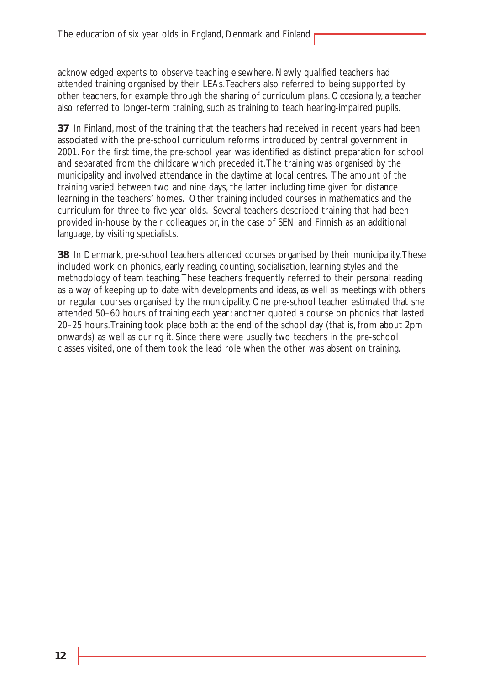acknowledged experts to observe teaching elsewhere. Newly qualified teachers had attended training organised by their LEAs.Teachers also referred to being supported by other teachers, for example through the sharing of curriculum plans. Occasionally, a teacher also referred to longer-term training, such as training to teach hearing-impaired pupils.

**37** In Finland, most of the training that the teachers had received in recent years had been associated with the pre-school curriculum reforms introduced by central government in 2001. For the first time, the pre-school year was identified as distinct preparation for school and separated from the childcare which preceded it.The training was organised by the municipality and involved attendance in the daytime at local centres. The amount of the training varied between two and nine days, the latter including time given for distance learning in the teachers' homes. Other training included courses in mathematics and the curriculum for three to five year olds. Several teachers described training that had been provided in-house by their colleagues or, in the case of SEN and Finnish as an additional language, by visiting specialists.

**38** In Denmark, pre-school teachers attended courses organised by their municipality.These included work on phonics, early reading, counting, socialisation, learning styles and the methodology of team teaching.These teachers frequently referred to their personal reading as a way of keeping up to date with developments and ideas, as well as meetings with others or regular courses organised by the municipality. One pre-school teacher estimated that she attended 50–60 hours of training each year; another quoted a course on phonics that lasted 20–25 hours.Training took place both at the end of the school day (that is, from about 2pm onwards) as well as during it. Since there were usually two teachers in the pre-school classes visited, one of them took the lead role when the other was absent on training.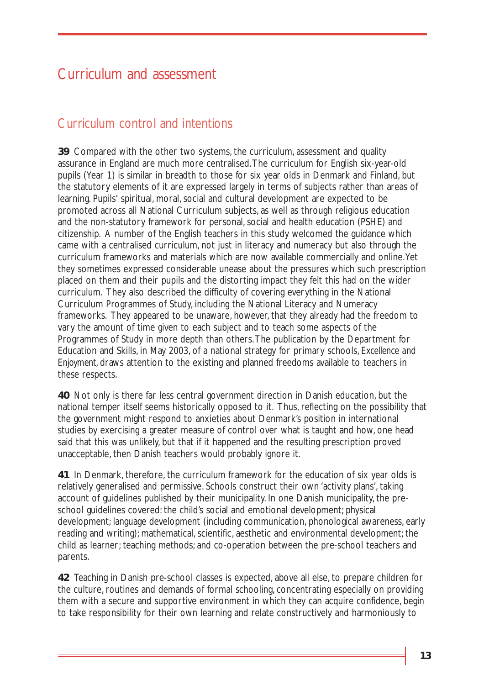# Curriculum and assessment

## Curriculum control and intentions

**39** Compared with the other two systems, the curriculum, assessment and quality assurance in England are much more centralised.The curriculum for English six-year-old pupils (Year 1) is similar in breadth to those for six year olds in Denmark and Finland, but the statutory elements of it are expressed largely in terms of subjects rather than areas of learning. Pupils' spiritual, moral, social and cultural development are expected to be promoted across all National Curriculum subjects, as well as through religious education and the non-statutory framework for personal, social and health education (PSHE) and citizenship. A number of the English teachers in this study welcomed the guidance which came with a centralised curriculum, not just in literacy and numeracy but also through the curriculum frameworks and materials which are now available commercially and online.Yet they sometimes expressed considerable unease about the pressures which such prescription placed on them and their pupils and the distorting impact they felt this had on the wider curriculum. They also described the difficulty of covering everything in the National Curriculum Programmes of Study, including the National Literacy and Numeracy frameworks. They appeared to be unaware, however, that they already had the freedom to vary the amount of time given to each subject and to teach some aspects of the Programmes of Study in more depth than others.The publication by the Department for Education and Skills, in May 2003, of a national strategy for primary schools, *Excellence and Enjoyment*, draws attention to the existing and planned freedoms available to teachers in these respects.

**40** Not only is there far less central government direction in Danish education, but the national temper itself seems historically opposed to it. Thus, reflecting on the possibility that the government might respond to anxieties about Denmark's position in international studies by exercising a greater measure of control over what is taught and how, one head said that this was unlikely, but that if it happened and the resulting prescription proved unacceptable, then Danish teachers would probably ignore it.

**41** In Denmark, therefore, the curriculum framework for the education of six year olds is relatively generalised and permissive. Schools construct their own 'activity plans', taking account of guidelines published by their municipality. In one Danish municipality, the preschool guidelines covered: the child's social and emotional development; physical development; language development (including communication, phonological awareness, early reading and writing); mathematical, scientific, aesthetic and environmental development; the child as learner; teaching methods; and co-operation between the pre-school teachers and parents.

**42** Teaching in Danish pre-school classes is expected, above all else, to prepare children for the culture, routines and demands of formal schooling, concentrating especially on providing them with a secure and supportive environment in which they can acquire confidence, begin to take responsibility for their own learning and relate constructively and harmoniously to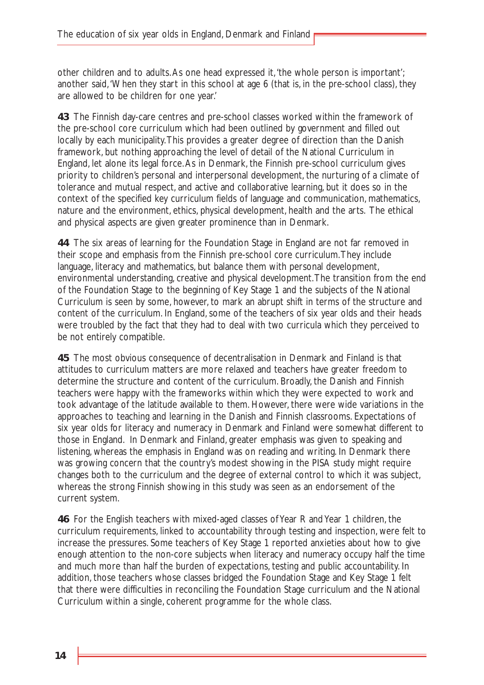other children and to adults.As one head expressed it,'the whole person is important'; another said,'When they start in this school at age 6 (that is, in the pre-school class), they are allowed to be children for one year.'

**43** The Finnish day-care centres and pre-school classes worked within the framework of the pre-school core curriculum which had been outlined by government and filled out locally by each municipality.This provides a greater degree of direction than the Danish framework, but nothing approaching the level of detail of the National Curriculum in England, let alone its legal force.As in Denmark, the Finnish pre-school curriculum gives priority to children's personal and interpersonal development, the nurturing of a climate of tolerance and mutual respect, and active and collaborative learning, but it does so in the context of the specified key curriculum fields of language and communication, mathematics, nature and the environment, ethics, physical development, health and the arts. The ethical and physical aspects are given greater prominence than in Denmark.

**44** The six areas of learning for the Foundation Stage in England are not far removed in their scope and emphasis from the Finnish pre-school core curriculum.They include language, literacy and mathematics, but balance them with personal development, environmental understanding, creative and physical development.The transition from the end of the Foundation Stage to the beginning of Key Stage 1 and the subjects of the National Curriculum is seen by some, however, to mark an abrupt shift in terms of the structure and content of the curriculum. In England, some of the teachers of six year olds and their heads were troubled by the fact that they had to deal with two curricula which they perceived to be not entirely compatible.

**45** The most obvious consequence of decentralisation in Denmark and Finland is that attitudes to curriculum matters are more relaxed and teachers have greater freedom to determine the structure and content of the curriculum. Broadly, the Danish and Finnish teachers were happy with the frameworks within which they were expected to work and took advantage of the latitude available to them. However, there were wide variations in the approaches to teaching and learning in the Danish and Finnish classrooms. Expectations of six year olds for literacy and numeracy in Denmark and Finland were somewhat different to those in England. In Denmark and Finland, greater emphasis was given to speaking and listening, whereas the emphasis in England was on reading and writing. In Denmark there was growing concern that the country's modest showing in the PISA study might require changes both to the curriculum and the degree of external control to which it was subject, whereas the strong Finnish showing in this study was seen as an endorsement of the current system.

**46** For the English teachers with mixed-aged classes of Year R and Year 1 children, the curriculum requirements, linked to accountability through testing and inspection, were felt to increase the pressures. Some teachers of Key Stage 1 reported anxieties about how to give enough attention to the non-core subjects when literacy and numeracy occupy half the time and much more than half the burden of expectations, testing and public accountability. In addition, those teachers whose classes bridged the Foundation Stage and Key Stage 1 felt that there were difficulties in reconciling the Foundation Stage curriculum and the National Curriculum within a single, coherent programme for the whole class.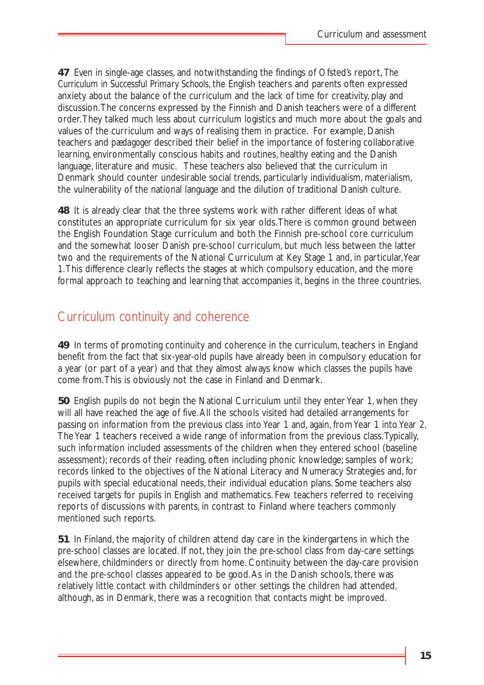**47** Even in single-age classes, and notwithstanding the findings of Ofsted's report, *The Curriculum in Successful Primary Schools*, the English teachers and parents often expressed anxiety about the balance of the curriculum and the lack of time for creativity, play and discussion.The concerns expressed by the Finnish and Danish teachers were of a different order.They talked much less about curriculum logistics and much more about the goals and values of the curriculum and ways of realising them in practice. For example, Danish teachers and *pædagoger* described their belief in the importance of fostering collaborative learning, environmentally conscious habits and routines, healthy eating and the Danish language, literature and music. These teachers also believed that the curriculum in Denmark should counter undesirable social trends, particularly individualism, materialism, the vulnerability of the national language and the dilution of traditional Danish culture.

**48** It is already clear that the three systems work with rather different ideas of what constitutes an appropriate curriculum for six year olds.There is common ground between the English Foundation Stage curriculum and both the Finnish pre-school core curriculum and the somewhat looser Danish pre-school curriculum, but much less between the latter two and the requirements of the National Curriculum at Key Stage 1 and, in particular,Year 1.This difference clearly reflects the stages at which compulsory education, and the more formal approach to teaching and learning that accompanies it, begins in the three countries.

### Curriculum continuity and coherence

**49** In terms of promoting continuity and coherence in the curriculum, teachers in England benefit from the fact that six-year-old pupils have already been in compulsory education for a year (or part of a year) and that they almost always know which classes the pupils have come from.This is obviously not the case in Finland and Denmark.

**50** English pupils do not begin the National Curriculum until they enter Year 1, when they will all have reached the age of five.All the schools visited had detailed arrangements for passing on information from the previous class into Year 1 and, again, from Year 1 into Year 2. The Year 1 teachers received a wide range of information from the previous class.Typically, such information included assessments of the children when they entered school (baseline assessment); records of their reading, often including phonic knowledge; samples of work; records linked to the objectives of the National Literacy and Numeracy Strategies and, for pupils with special educational needs, their individual education plans. Some teachers also received targets for pupils in English and mathematics. Few teachers referred to receiving reports of discussions with parents, in contrast to Finland where teachers commonly mentioned such reports.

**51** In Finland, the majority of children attend day care in the kindergartens in which the pre-school classes are located. If not, they join the pre-school class from day-care settings elsewhere, childminders or directly from home. Continuity between the day-care provision and the pre-school classes appeared to be good.As in the Danish schools, there was relatively little contact with childminders or other settings the children had attended, although, as in Denmark, there was a recognition that contacts might be improved.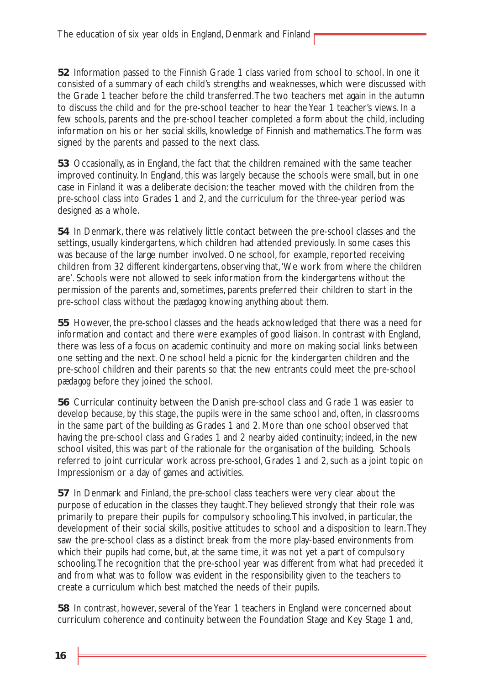**52** Information passed to the Finnish Grade 1 class varied from school to school. In one it consisted of a summary of each child's strengths and weaknesses, which were discussed with the Grade 1 teacher before the child transferred.The two teachers met again in the autumn to discuss the child and for the pre-school teacher to hear the Year 1 teacher's views. In a few schools, parents and the pre-school teacher completed a form about the child, including information on his or her social skills, knowledge of Finnish and mathematics.The form was signed by the parents and passed to the next class.

**53** Occasionally, as in England, the fact that the children remained with the same teacher improved continuity. In England, this was largely because the schools were small, but in one case in Finland it was a deliberate decision: the teacher moved with the children from the pre-school class into Grades 1 and 2, and the curriculum for the three-year period was designed as a whole.

**54** In Denmark, there was relatively little contact between the pre-school classes and the settings, usually kindergartens, which children had attended previously. In some cases this was because of the large number involved. One school, for example, reported receiving children from 32 different kindergartens, observing that,'We work from where the children are'. Schools were not allowed to seek information from the kindergartens without the permission of the parents and, sometimes, parents preferred their children to start in the pre-school class without the *pædagog* knowing anything about them.

**55** However, the pre-school classes and the heads acknowledged that there was a need for information and contact and there were examples of good liaison. In contrast with England, there was less of a focus on academic continuity and more on making social links between one setting and the next. One school held a picnic for the kindergarten children and the pre-school children and their parents so that the new entrants could meet the pre-school *pædagog* before they joined the school.

**56** Curricular continuity between the Danish pre-school class and Grade 1 was easier to develop because, by this stage, the pupils were in the same school and, often, in classrooms in the same part of the building as Grades 1 and 2. More than one school observed that having the pre-school class and Grades 1 and 2 nearby aided continuity; indeed, in the new school visited, this was part of the rationale for the organisation of the building. Schools referred to joint curricular work across pre-school, Grades 1 and 2, such as a joint topic on Impressionism or a day of games and activities.

**57** In Denmark and Finland, the pre-school class teachers were very clear about the purpose of education in the classes they taught.They believed strongly that their role was primarily to prepare their pupils for compulsory schooling.This involved, in particular, the development of their social skills, positive attitudes to school and a disposition to learn.They saw the pre-school class as a distinct break from the more play-based environments from which their pupils had come, but, at the same time, it was not yet a part of compulsory schooling.The recognition that the pre-school year was different from what had preceded it and from what was to follow was evident in the responsibility given to the teachers to create a curriculum which best matched the needs of their pupils.

**58** In contrast, however, several of the Year 1 teachers in England were concerned about curriculum coherence and continuity between the Foundation Stage and Key Stage 1 and,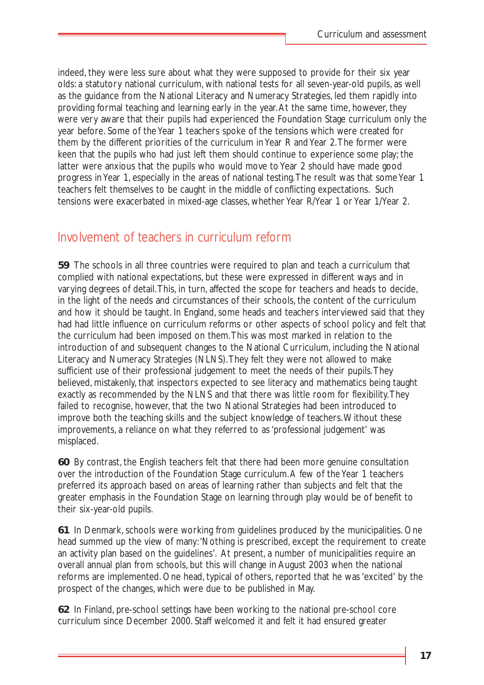indeed, they were less sure about what they were supposed to provide for their six year olds: a statutory national curriculum, with national tests for all seven-year-old pupils, as well as the guidance from the National Literacy and Numeracy Strategies, led them rapidly into providing formal teaching and learning early in the year.At the same time, however, they were very aware that their pupils had experienced the Foundation Stage curriculum only the year before. Some of the Year 1 teachers spoke of the tensions which were created for them by the different priorities of the curriculum in Year R and Year 2.The former were keen that the pupils who had just left them should continue to experience some play; the latter were anxious that the pupils who would move to Year 2 should have made good progress in Year 1, especially in the areas of national testing.The result was that some Year 1 teachers felt themselves to be caught in the middle of conflicting expectations. Such tensions were exacerbated in mixed-age classes, whether Year R/Year 1 or Year 1/Year 2.

### Involvement of teachers in curriculum reform

**59** The schools in all three countries were required to plan and teach a curriculum that complied with national expectations, but these were expressed in different ways and in varying degrees of detail.This, in turn, affected the scope for teachers and heads to decide, in the light of the needs and circumstances of their schools, the content of the curriculum and how it should be taught. In England, some heads and teachers interviewed said that they had had little influence on curriculum reforms or other aspects of school policy and felt that the curriculum had been imposed on them.This was most marked in relation to the introduction of and subsequent changes to the National Curriculum, including the National Literacy and Numeracy Strategies (NLNS).They felt they were not allowed to make sufficient use of their professional judgement to meet the needs of their pupils.They believed, mistakenly, that inspectors expected to see literacy and mathematics being taught exactly as recommended by the NLNS and that there was little room for flexibility.They failed to recognise, however, that the two National Strategies had been introduced to improve both the teaching skills and the subject knowledge of teachers.Without these improvements, a reliance on what they referred to as 'professional judgement' was misplaced.

**60** By contrast, the English teachers felt that there had been more genuine consultation over the introduction of the Foundation Stage curriculum.A few of the Year 1 teachers preferred its approach based on areas of learning rather than subjects and felt that the greater emphasis in the Foundation Stage on learning through play would be of benefit to their six-year-old pupils.

**61** In Denmark, schools were working from guidelines produced by the municipalities. One head summed up the view of many:'Nothing is prescribed, except the requirement to create an activity plan based on the guidelines'. At present, a number of municipalities require an overall annual plan from schools, but this will change in August 2003 when the national reforms are implemented. One head, typical of others, reported that he was 'excited' by the prospect of the changes, which were due to be published in May.

**62** In Finland, pre-school settings have been working to the national pre-school core curriculum since December 2000. Staff welcomed it and felt it had ensured greater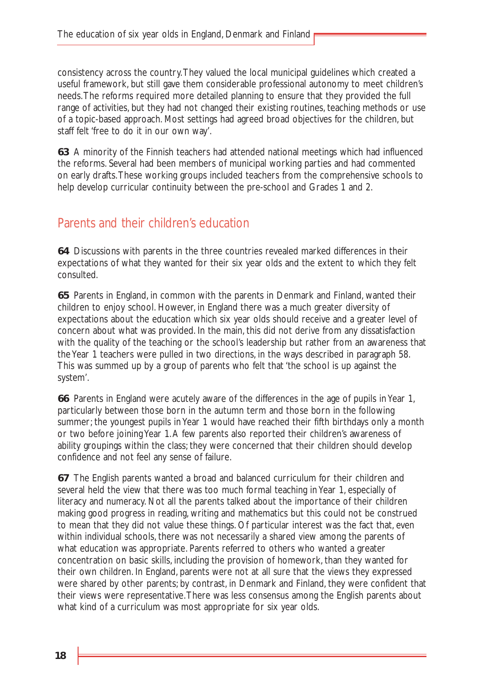consistency across the country.They valued the local municipal guidelines which created a useful framework, but still gave them considerable professional autonomy to meet children's needs.The reforms required more detailed planning to ensure that they provided the full range of activities, but they had not changed their existing routines, teaching methods or use of a topic-based approach. Most settings had agreed broad objectives for the children, but staff felt 'free to do it in our own way'.

**63** A minority of the Finnish teachers had attended national meetings which had influenced the reforms. Several had been members of municipal working parties and had commented on early drafts.These working groups included teachers from the comprehensive schools to help develop curricular continuity between the pre-school and Grades 1 and 2.

### Parents and their children's education

**64** Discussions with parents in the three countries revealed marked differences in their expectations of what they wanted for their six year olds and the extent to which they felt consulted.

**65** Parents in England, in common with the parents in Denmark and Finland, wanted their children to enjoy school. However, in England there was a much greater diversity of expectations about the education which six year olds should receive and a greater level of concern about what was provided. In the main, this did not derive from any dissatisfaction with the quality of the teaching or the school's leadership but rather from an awareness that the Year 1 teachers were pulled in two directions, in the ways described in paragraph 58. This was summed up by a group of parents who felt that 'the school is up against the system'.

**66** Parents in England were acutely aware of the differences in the age of pupils in Year 1, particularly between those born in the autumn term and those born in the following summer; the youngest pupils in Year 1 would have reached their fifth birthdays only a month or two before joining Year 1.A few parents also reported their children's awareness of ability groupings within the class; they were concerned that their children should develop confidence and not feel any sense of failure.

**67** The English parents wanted a broad and balanced curriculum for their children and several held the view that there was too much formal teaching in Year 1, especially of literacy and numeracy. Not all the parents talked about the importance of their children making good progress in reading, writing and mathematics but this could not be construed to mean that they did not value these things. Of particular interest was the fact that, even within individual schools, there was not necessarily a shared view among the parents of what education was appropriate. Parents referred to others who wanted a greater concentration on basic skills, including the provision of homework, than they wanted for their own children. In England, parents were not at all sure that the views they expressed were shared by other parents; by contrast, in Denmark and Finland, they were confident that their views were representative.There was less consensus among the English parents about what kind of a curriculum was most appropriate for six year olds.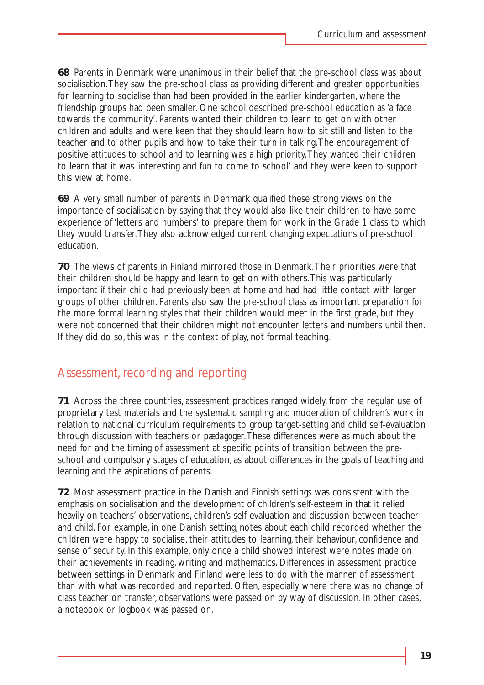**68** Parents in Denmark were unanimous in their belief that the pre-school class was about socialisation.They saw the pre-school class as providing different and greater opportunities for learning to socialise than had been provided in the earlier kindergarten, where the friendship groups had been smaller. One school described pre-school education as 'a face towards the community'. Parents wanted their children to learn to get on with other children and adults and were keen that they should learn how to sit still and listen to the teacher and to other pupils and how to take their turn in talking.The encouragement of positive attitudes to school and to learning was a high priority.They wanted their children to learn that it was 'interesting and fun to come to school' and they were keen to support this view at home.

**69** A very small number of parents in Denmark qualified these strong views on the importance of socialisation by saying that they would also like their children to have some experience of 'letters and numbers' to prepare them for work in the Grade 1 class to which they would transfer.They also acknowledged current changing expectations of pre-school education.

**70** The views of parents in Finland mirrored those in Denmark.Their priorities were that their children should be happy and learn to get on with others.This was particularly important if their child had previously been at home and had had little contact with larger groups of other children. Parents also saw the pre-school class as important preparation for the more formal learning styles that their children would meet in the first grade, but they were not concerned that their children might not encounter letters and numbers until then. If they did do so, this was in the context of play, not formal teaching.

### Assessment, recording and reporting

**71** Across the three countries, assessment practices ranged widely, from the regular use of proprietary test materials and the systematic sampling and moderation of children's work in relation to national curriculum requirements to group target-setting and child self-evaluation through discussion with teachers or *pædagoger*.These differences were as much about the need for and the timing of assessment at specific points of transition between the preschool and compulsory stages of education, as about differences in the goals of teaching and learning and the aspirations of parents.

**72** Most assessment practice in the Danish and Finnish settings was consistent with the emphasis on socialisation and the development of children's self-esteem in that it relied heavily on teachers' observations, children's self-evaluation and discussion between teacher and child. For example, in one Danish setting, notes about each child recorded whether the children were happy to socialise, their attitudes to learning, their behaviour, confidence and sense of security. In this example, only once a child showed interest were notes made on their achievements in reading, writing and mathematics. Differences in assessment practice between settings in Denmark and Finland were less to do with the manner of assessment than with what was recorded and reported. Often, especially where there was no change of class teacher on transfer, observations were passed on by way of discussion. In other cases, a notebook or logbook was passed on.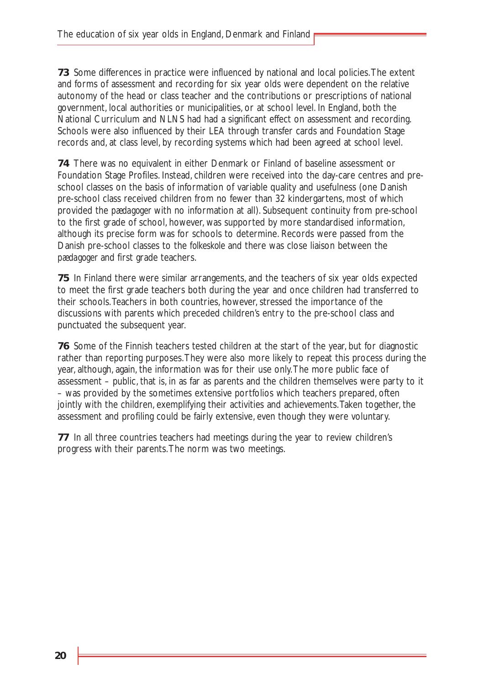**73** Some differences in practice were influenced by national and local policies.The extent and forms of assessment and recording for six year olds were dependent on the relative autonomy of the head or class teacher and the contributions or prescriptions of national government, local authorities or municipalities, or at school level. In England, both the National Curriculum and NLNS had had a significant effect on assessment and recording. Schools were also influenced by their LEA through transfer cards and Foundation Stage records and, at class level, by recording systems which had been agreed at school level.

**74** There was no equivalent in either Denmark or Finland of baseline assessment or Foundation Stage Profiles. Instead, children were received into the day-care centres and preschool classes on the basis of information of variable quality and usefulness (one Danish pre-school class received children from no fewer than 32 kindergartens, most of which provided the *pædagoger* with no information at all). Subsequent continuity from pre-school to the first grade of school, however, was supported by more standardised information, although its precise form was for schools to determine. Records were passed from the Danish pre-school classes to the *folkeskole* and there was close liaison between the *pædagoger* and first grade teachers.

**75** In Finland there were similar arrangements, and the teachers of six year olds expected to meet the first grade teachers both during the year and once children had transferred to their schools.Teachers in both countries, however, stressed the importance of the discussions with parents which preceded children's entry to the pre-school class and punctuated the subsequent year.

**76** Some of the Finnish teachers tested children at the start of the year, but for diagnostic rather than reporting purposes.They were also more likely to repeat this process during the year, although, again, the information was for their use only.The more public face of assessment – public, that is, in as far as parents and the children themselves were party to it – was provided by the sometimes extensive portfolios which teachers prepared, often jointly with the children, exemplifying their activities and achievements.Taken together, the assessment and profiling could be fairly extensive, even though they were voluntary.

**77** In all three countries teachers had meetings during the year to review children's progress with their parents.The norm was two meetings.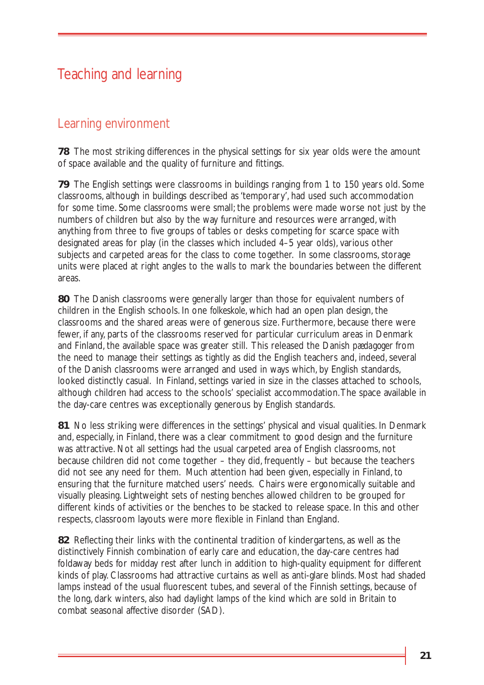# Teaching and learning

### Learning environment

**78** The most striking differences in the physical settings for six year olds were the amount of space available and the quality of furniture and fittings.

**79** The English settings were classrooms in buildings ranging from 1 to 150 years old. Some classrooms, although in buildings described as 'temporary', had used such accommodation for some time. Some classrooms were small; the problems were made worse not just by the numbers of children but also by the way furniture and resources were arranged, with anything from three to five groups of tables or desks competing for scarce space with designated areas for play (in the classes which included 4–5 year olds), various other subjects and carpeted areas for the class to come together. In some classrooms, storage units were placed at right angles to the walls to mark the boundaries between the different areas.

**80** The Danish classrooms were generally larger than those for equivalent numbers of children in the English schools. In one *folkeskole*, which had an open plan design, the classrooms and the shared areas were of generous size. Furthermore, because there were fewer, if any, parts of the classrooms reserved for particular curriculum areas in Denmark and Finland, the available space was greater still. This released the Danish *pædagoger* from the need to manage their settings as tightly as did the English teachers and, indeed, several of the Danish classrooms were arranged and used in ways which, by English standards, looked distinctly casual. In Finland, settings varied in size in the classes attached to schools, although children had access to the schools' specialist accommodation.The space available in the day-care centres was exceptionally generous by English standards.

**81** No less striking were differences in the settings' physical and visual qualities. In Denmark and, especially, in Finland, there was a clear commitment to good design and the furniture was attractive. Not all settings had the usual carpeted area of English classrooms, not because children did not come together – they did, frequently – but because the teachers did not see any need for them. Much attention had been given, especially in Finland, to ensuring that the furniture matched users' needs. Chairs were ergonomically suitable and visually pleasing. Lightweight sets of nesting benches allowed children to be grouped for different kinds of activities or the benches to be stacked to release space. In this and other respects, classroom layouts were more flexible in Finland than England.

**82** Reflecting their links with the continental tradition of kindergartens, as well as the distinctively Finnish combination of early care and education, the day-care centres had foldaway beds for midday rest after lunch in addition to high-quality equipment for different kinds of play. Classrooms had attractive curtains as well as anti-glare blinds. Most had shaded lamps instead of the usual fluorescent tubes, and several of the Finnish settings, because of the long, dark winters, also had daylight lamps of the kind which are sold in Britain to combat seasonal affective disorder (SAD).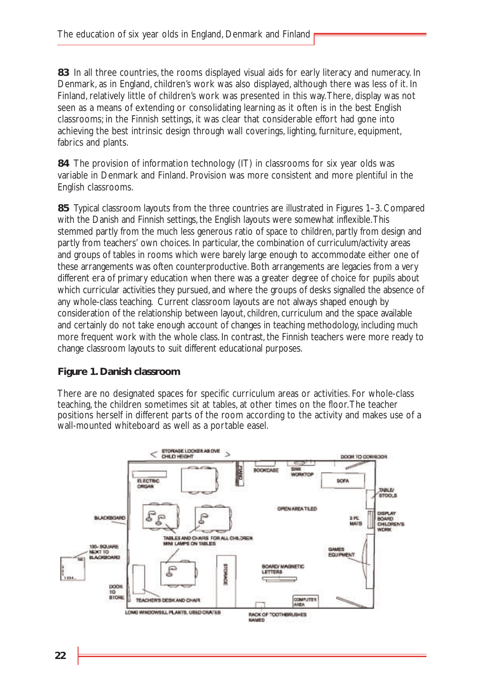**83** In all three countries, the rooms displayed visual aids for early literacy and numeracy. In Denmark, as in England, children's work was also displayed, although there was less of it. In Finland, relatively little of children's work was presented in this way.There, display was not seen as a means of extending or consolidating learning as it often is in the best English classrooms; in the Finnish settings, it was clear that considerable effort had gone into achieving the best intrinsic design through wall coverings, lighting, furniture, equipment, fabrics and plants.

**84** The provision of information technology (IT) in classrooms for six year olds was variable in Denmark and Finland. Provision was more consistent and more plentiful in the English classrooms.

**85** Typical classroom layouts from the three countries are illustrated in Figures 1–3. Compared with the Danish and Finnish settings, the English layouts were somewhat inflexible.This stemmed partly from the much less generous ratio of space to children, partly from design and partly from teachers' own choices. In particular, the combination of curriculum/activity areas and groups of tables in rooms which were barely large enough to accommodate either one of these arrangements was often counterproductive. Both arrangements are legacies from a very different era of primary education when there was a greater degree of choice for pupils about which curricular activities they pursued, and where the groups of desks signalled the absence of any whole-class teaching. Current classroom layouts are not always shaped enough by consideration of the relationship between layout, children, curriculum and the space available and certainly do not take enough account of changes in teaching methodology, including much more frequent work with the whole class. In contrast, the Finnish teachers were more ready to change classroom layouts to suit different educational purposes.

#### **Figure 1. Danish classroom**

There are no designated spaces for specific curriculum areas or activities. For whole-class teaching, the children sometimes sit at tables, at other times on the floor.The teacher positions herself in different parts of the room according to the activity and makes use of a wall-mounted whiteboard as well as a portable easel.

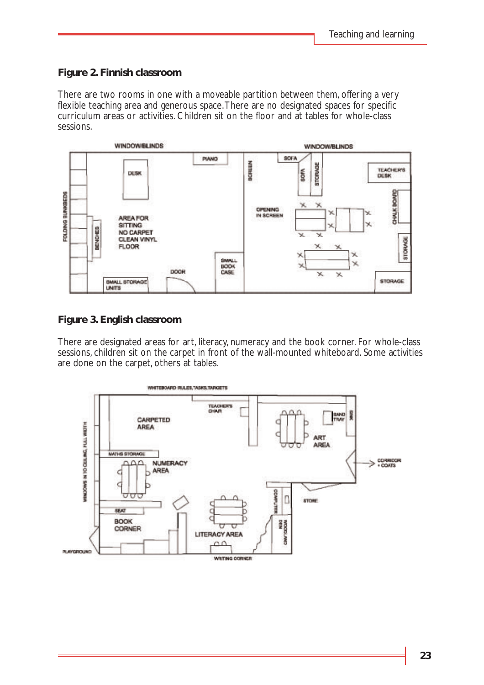#### **Figure 2. Finnish classroom**

There are two rooms in one with a moveable partition between them, offering a very flexible teaching area and generous space.There are no designated spaces for specific curriculum areas or activities. Children sit on the floor and at tables for whole-class sessions.



#### **Figure 3. English classroom**

*Figs 1 – 3 about here.* There are designated areas for art, literacy, numeracy and the book corner. For whole-class sessions, children sit on the carpet in front of the wall-mounted whiteboard. Some activities are done on the carpet, others at tables.

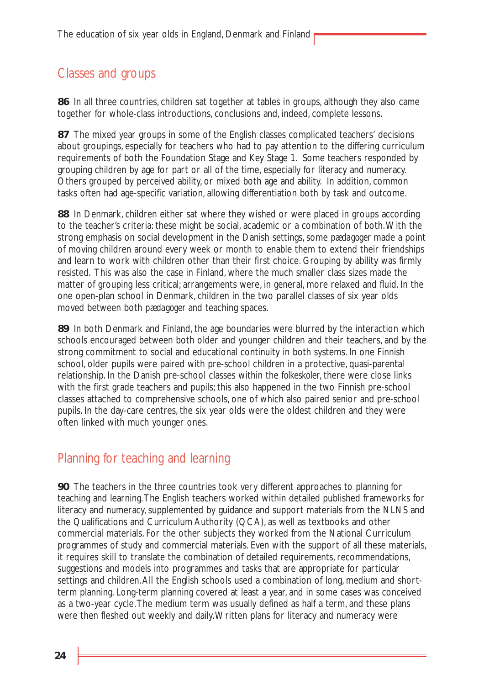# Classes and groups

**86** In all three countries, children sat together at tables in groups, although they also came together for whole-class introductions, conclusions and, indeed, complete lessons.

**87** The mixed year groups in some of the English classes complicated teachers' decisions about groupings, especially for teachers who had to pay attention to the differing curriculum requirements of both the Foundation Stage and Key Stage 1. Some teachers responded by grouping children by age for part or all of the time, especially for literacy and numeracy. Others grouped by perceived ability, or mixed both age and ability. In addition, common tasks often had age-specific variation, allowing differentiation both by task and outcome.

**88** In Denmark, children either sat where they wished or were placed in groups according to the teacher's criteria: these might be social, academic or a combination of both.With the strong emphasis on social development in the Danish settings, some *pædagoger* made a point of moving children around every week or month to enable them to extend their friendships and learn to work with children other than their first choice. Grouping by ability was firmly resisted. This was also the case in Finland, where the much smaller class sizes made the matter of grouping less critical; arrangements were, in general, more relaxed and fluid. In the one open-plan school in Denmark, children in the two parallel classes of six year olds moved between both *pædagoger* and teaching spaces.

**89** In both Denmark and Finland, the age boundaries were blurred by the interaction which schools encouraged between both older and younger children and their teachers, and by the strong commitment to social and educational continuity in both systems. In one Finnish school, older pupils were paired with pre-school children in a protective, quasi-parental relationship. In the Danish pre-school classes within the *folkeskoler*, there were close links with the first grade teachers and pupils; this also happened in the two Finnish pre-school classes attached to comprehensive schools, one of which also paired senior and pre-school pupils. In the day-care centres, the six year olds were the oldest children and they were often linked with much younger ones.

### Planning for teaching and learning

**90** The teachers in the three countries took very different approaches to planning for teaching and learning.The English teachers worked within detailed published frameworks for literacy and numeracy, supplemented by guidance and support materials from the NLNS and the Qualifications and Curriculum Authority (QCA), as well as textbooks and other commercial materials. For the other subjects they worked from the National Curriculum programmes of study and commercial materials. Even with the support of all these materials, it requires skill to translate the combination of detailed requirements, recommendations, suggestions and models into programmes and tasks that are appropriate for particular settings and children.All the English schools used a combination of long, medium and shortterm planning. Long-term planning covered at least a year, and in some cases was conceived as a two-year cycle.The medium term was usually defined as half a term, and these plans were then fleshed out weekly and daily.Written plans for literacy and numeracy were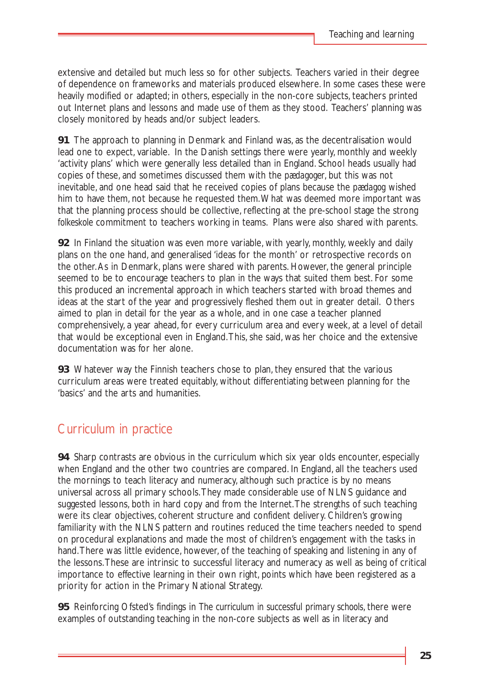extensive and detailed but much less so for other subjects. Teachers varied in their degree of dependence on frameworks and materials produced elsewhere. In some cases these were heavily modified or adapted; in others, especially in the non-core subjects, teachers printed out Internet plans and lessons and made use of them as they stood. Teachers' planning was closely monitored by heads and/or subject leaders.

**91** The approach to planning in Denmark and Finland was, as the decentralisation would lead one to expect, variable. In the Danish settings there were yearly, monthly and weekly 'activity plans' which were generally less detailed than in England. School heads usually had copies of these, and sometimes discussed them with the *pædagoger*, but this was not inevitable, and one head said that he received copies of plans because the *pædagog* wished him to have them, not because he requested them.What was deemed more important was that the planning process should be collective, reflecting at the pre-school stage the strong *folkeskole* commitment to teachers working in teams. Plans were also shared with parents.

**92** In Finland the situation was even more variable, with yearly, monthly, weekly and daily plans on the one hand, and generalised 'ideas for the month' or retrospective records on the other.As in Denmark, plans were shared with parents. However, the general principle seemed to be to encourage teachers to plan in the ways that suited them best. For some this produced an incremental approach in which teachers started with broad themes and ideas at the start of the year and progressively fleshed them out in greater detail. Others aimed to plan in detail for the year as a whole, and in one case a teacher planned comprehensively, a year ahead, for every curriculum area and every week, at a level of detail that would be exceptional even in England.This, she said, was her choice and the extensive documentation was for her alone.

**93** Whatever way the Finnish teachers chose to plan, they ensured that the various curriculum areas were treated equitably, without differentiating between planning for the 'basics' and the arts and humanities.

# Curriculum in practice

**94** Sharp contrasts are obvious in the curriculum which six year olds encounter, especially when England and the other two countries are compared. In England, all the teachers used the mornings to teach literacy and numeracy, although such practice is by no means universal across all primary schools.They made considerable use of NLNS guidance and suggested lessons, both in hard copy and from the Internet.The strengths of such teaching were its clear objectives, coherent structure and confident delivery. Children's growing familiarity with the NLNS pattern and routines reduced the time teachers needed to spend on procedural explanations and made the most of children's engagement with the tasks in hand.There was little evidence, however, of the teaching of speaking and listening in any of the lessons.These are intrinsic to successful literacy and numeracy as well as being of critical importance to effective learning in their own right, points which have been registered as a priority for action in the Primary National Strategy.

**95** Reinforcing Ofsted's findings in *The curriculum in successful primary schools*, there were examples of outstanding teaching in the non-core subjects as well as in literacy and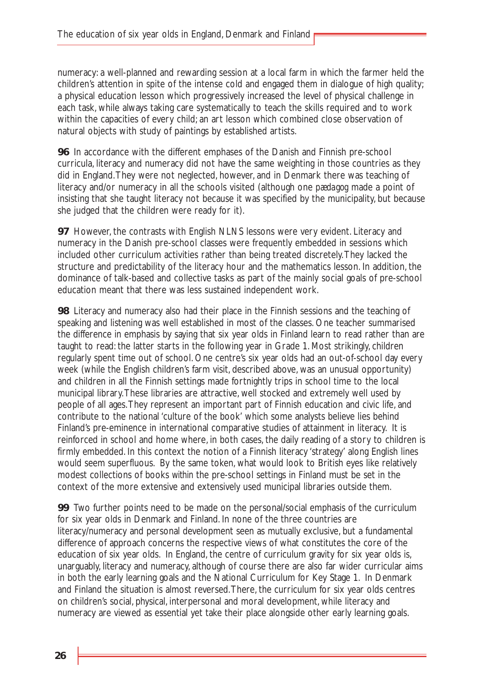numeracy: a well-planned and rewarding session at a local farm in which the farmer held the children's attention in spite of the intense cold and engaged them in dialogue of high quality; a physical education lesson which progressively increased the level of physical challenge in each task, while always taking care systematically to teach the skills required and to work within the capacities of every child; an art lesson which combined close observation of natural objects with study of paintings by established artists.

**96** In accordance with the different emphases of the Danish and Finnish pre-school curricula, literacy and numeracy did not have the same weighting in those countries as they did in England.They were not neglected, however, and in Denmark there was teaching of literacy and/or numeracy in all the schools visited (although one *pædagog* made a point of insisting that she taught literacy not because it was specified by the municipality, but because she judged that the children were ready for it).

**97** However, the contrasts with English NLNS lessons were very evident. Literacy and numeracy in the Danish pre-school classes were frequently embedded in sessions which included other curriculum activities rather than being treated discretely.They lacked the structure and predictability of the literacy hour and the mathematics lesson. In addition, the dominance of talk-based and collective tasks as part of the mainly social goals of pre-school education meant that there was less sustained independent work.

**98** Literacy and numeracy also had their place in the Finnish sessions and the teaching of speaking and listening was well established in most of the classes. One teacher summarised the difference in emphasis by saying that six year olds in Finland learn to read rather than are taught to read: the latter starts in the following year in Grade 1. Most strikingly, children regularly spent time out of school. One centre's six year olds had an out-of-school day every week (while the English children's farm visit, described above, was an unusual opportunity) and children in all the Finnish settings made fortnightly trips in school time to the local municipal library.These libraries are attractive, well stocked and extremely well used by people of all ages.They represent an important part of Finnish education and civic life, and contribute to the national 'culture of the book' which some analysts believe lies behind Finland's pre-eminence in international comparative studies of attainment in literacy. It is reinforced in school and home where, in both cases, the daily reading of a story to children is firmly embedded. In this context the notion of a Finnish literacy 'strategy' along English lines would seem superfluous. By the same token, what would look to British eyes like relatively modest collections of books *within* the pre-school settings in Finland must be set in the context of the more extensive and extensively used municipal libraries outside them.

**99** Two further points need to be made on the personal/social emphasis of the curriculum for six year olds in Denmark and Finland. In none of the three countries are literacy/numeracy and personal development seen as mutually exclusive, but a fundamental difference of approach concerns the respective views of what constitutes the core of the education of six year olds. In England, the centre of curriculum gravity for six year olds is, unarguably, literacy and numeracy, although of course there are also far wider curricular aims in both the early learning goals and the National Curriculum for Key Stage 1. In Denmark and Finland the situation is almost reversed.There, the curriculum for six year olds centres on children's social, physical, interpersonal and moral development, while literacy and numeracy are viewed as essential yet take their place alongside other early learning goals.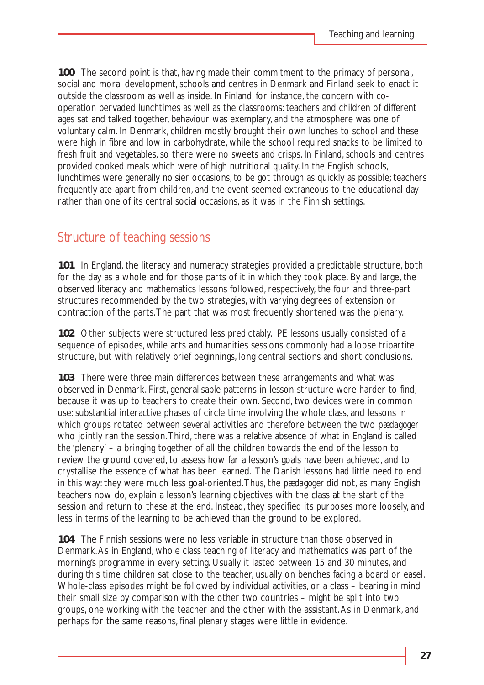**100** The second point is that, having made their commitment to the primacy of personal, social and moral development, schools and centres in Denmark and Finland seek to enact it outside the classroom as well as inside. In Finland, for instance, the concern with cooperation pervaded lunchtimes as well as the classrooms: teachers and children of different ages sat and talked together, behaviour was exemplary, and the atmosphere was one of voluntary calm. In Denmark, children mostly brought their own lunches to school and these were high in fibre and low in carbohydrate, while the school required snacks to be limited to fresh fruit and vegetables, so there were no sweets and crisps. In Finland, schools and centres provided cooked meals which were of high nutritional quality. In the English schools, lunchtimes were generally noisier occasions, to be got through as quickly as possible; teachers frequently ate apart from children, and the event seemed extraneous to the educational day rather than one of its central social occasions, as it was in the Finnish settings.

### Structure of teaching sessions

**101** In England, the literacy and numeracy strategies provided a predictable structure, both for the day as a whole and for those parts of it in which they took place. By and large, the observed literacy and mathematics lessons followed, respectively, the four and three-part structures recommended by the two strategies, with varying degrees of extension or contraction of the parts.The part that was most frequently shortened was the plenary.

**102** Other subjects were structured less predictably. PE lessons usually consisted of a sequence of episodes, while arts and humanities sessions commonly had a loose tripartite structure, but with relatively brief beginnings, long central sections and short conclusions.

**103** There were three main differences between these arrangements and what was observed in Denmark. First, generalisable patterns in lesson structure were harder to find, because it was up to teachers to create their own. Second, two devices were in common use: substantial interactive phases of circle time involving the whole class, and lessons in which groups rotated between several activities and therefore between the two *pædagoger* who jointly ran the session. Third, there was a relative absence of what in England is called the 'plenary' – a bringing together of all the children towards the end of the lesson to review the ground covered, to assess how far a lesson's goals have been achieved, and to crystallise the essence of what has been learned. The Danish lessons had little need to end in this way: they were much less goal-oriented.Thus, the *pædagoger* did not, as many English teachers now do, explain a lesson's learning objectives with the class at the start of the session and return to these at the end. Instead, they specified its purposes more loosely, and less in terms of the learning to be achieved than the ground to be explored.

**104** The Finnish sessions were no less variable in structure than those observed in Denmark.As in England, whole class teaching of literacy and mathematics was part of the morning's programme in every setting. Usually it lasted between 15 and 30 minutes, and during this time children sat close to the teacher, usually on benches facing a board or easel. Whole-class episodes might be followed by individual activities, or a class – bearing in mind their small size by comparison with the other two countries – might be split into two groups, one working with the teacher and the other with the assistant.As in Denmark, and perhaps for the same reasons, final plenary stages were little in evidence.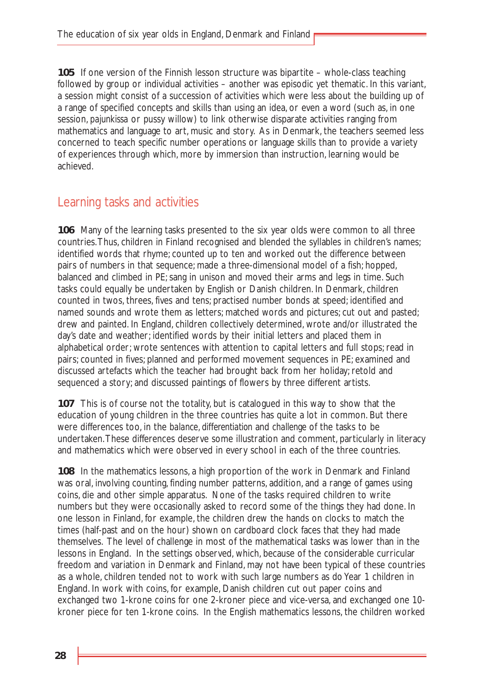**105** If one version of the Finnish lesson structure was bipartite – whole-class teaching followed by group or individual activities – another was episodic yet thematic. In this variant, a session might consist of a succession of activities which were less about the building up of a range of specified concepts and skills than using an idea, or even a word (such as, in one session, *pajunkissa* or pussy willow) to link otherwise disparate activities ranging from mathematics and language to art, music and story. As in Denmark, the teachers seemed less concerned to teach specific number operations or language skills than to provide a variety of experiences through which, more by immersion than instruction, learning would be achieved.

### Learning tasks and activities

**106** Many of the learning tasks presented to the six year olds were common to all three countries.Thus, children in Finland recognised and blended the syllables in children's names; identified words that rhyme; counted up to ten and worked out the difference between pairs of numbers in that sequence; made a three-dimensional model of a fish; hopped, balanced and climbed in PE; sang in unison and moved their arms and legs in time. Such tasks could equally be undertaken by English or Danish children. In Denmark, children counted in twos, threes, fives and tens; practised number bonds at speed; identified and named sounds and wrote them as letters; matched words and pictures; cut out and pasted; drew and painted. In England, children collectively determined, wrote and/or illustrated the day's date and weather; identified words by their initial letters and placed them in alphabetical order; wrote sentences with attention to capital letters and full stops; read in pairs; counted in fives; planned and performed movement sequences in PE; examined and discussed artefacts which the teacher had brought back from her holiday; retold and sequenced a story; and discussed paintings of flowers by three different artists.

**107** This is of course not the totality, but is catalogued in this way to show that the education of young children in the three countries has quite a lot in common. But there were differences too, in the *balance, differentiation* and *challenge* of the tasks to be undertaken.These differences deserve some illustration and comment, particularly in literacy and mathematics which were observed in every school in each of the three countries.

**108** In the mathematics lessons, a high proportion of the work in Denmark and Finland was oral, involving counting, finding number patterns, addition, and a range of games using coins, die and other simple apparatus. None of the tasks required children to write numbers but they were occasionally asked to record some of the things they had done. In one lesson in Finland, for example, the children drew the hands on clocks to match the times (half-past and on the hour) shown on cardboard clock faces that they had made themselves. The level of challenge in most of the mathematical tasks was lower than in the lessons in England. In the settings observed, which, because of the considerable curricular freedom and variation in Denmark and Finland, may not have been typical of these countries as a whole, children tended not to work with such large numbers as do Year 1 children in England. In work with coins, for example, Danish children cut out paper coins and exchanged two 1-krone coins for one 2-kroner piece and vice-versa, and exchanged one 10 kroner piece for ten 1-krone coins. In the English mathematics lessons, the children worked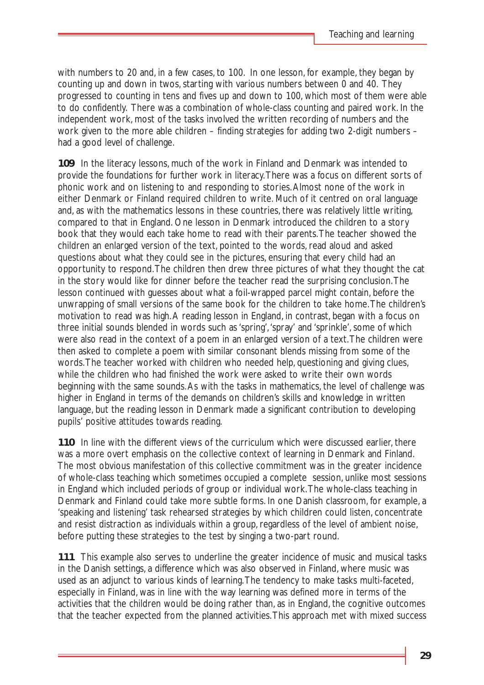with numbers to 20 and, in a few cases, to 100. In one lesson, for example, they began by counting up and down in twos, starting with various numbers between 0 and 40. They progressed to counting in tens and fives up and down to 100, which most of them were able to do confidently. There was a combination of whole-class counting and paired work. In the independent work, most of the tasks involved the written recording of numbers and the work given to the more able children – finding strategies for adding two 2-digit numbers – had a good level of challenge.

**109** In the literacy lessons, much of the work in Finland and Denmark was intended to provide the foundations for further work in literacy.There was a focus on different sorts of phonic work and on listening to and responding to stories.Almost none of the work in either Denmark or Finland required children to write. Much of it centred on oral language and, as with the mathematics lessons in these countries, there was relatively little writing, compared to that in England. One lesson in Denmark introduced the children to a story book that they would each take home to read with their parents.The teacher showed the children an enlarged version of the text, pointed to the words, read aloud and asked questions about what they could see in the pictures, ensuring that every child had an opportunity to respond.The children then drew three pictures of what they thought the cat in the story would like for dinner before the teacher read the surprising conclusion.The lesson continued with guesses about what a foil-wrapped parcel might contain, before the unwrapping of small versions of the same book for the children to take home.The children's motivation to read was high.A reading lesson in England, in contrast, began with a focus on three initial sounds blended in words such as 'spring','spray' and 'sprinkle', some of which were also read in the context of a poem in an enlarged version of a text.The children were then asked to complete a poem with similar consonant blends missing from some of the words.The teacher worked with children who needed help, questioning and giving clues, while the children who had finished the work were asked to write their own words beginning with the same sounds.As with the tasks in mathematics, the level of challenge was higher in England in terms of the demands on children's skills and knowledge in written language, but the reading lesson in Denmark made a significant contribution to developing pupils' positive attitudes towards reading.

**110** In line with the different views of the curriculum which were discussed earlier, there was a more overt emphasis on the collective context of learning in Denmark and Finland. The most obvious manifestation of this collective commitment was in the greater incidence of whole-class teaching which sometimes occupied a complete session, unlike most sessions in England which included periods of group or individual work.The whole-class teaching in Denmark and Finland could take more subtle forms. In one Danish classroom, for example, a 'speaking and listening' task rehearsed strategies by which children could listen, concentrate and resist distraction as individuals within a group, regardless of the level of ambient noise, before putting these strategies to the test by singing a two-part round.

**111** This example also serves to underline the greater incidence of music and musical tasks in the Danish settings, a difference which was also observed in Finland, where music was used as an adjunct to various kinds of learning.The tendency to make tasks multi-faceted, especially in Finland, was in line with the way learning was defined more in terms of the activities that the children would be doing rather than, as in England, the cognitive outcomes that the teacher expected from the planned activities.This approach met with mixed success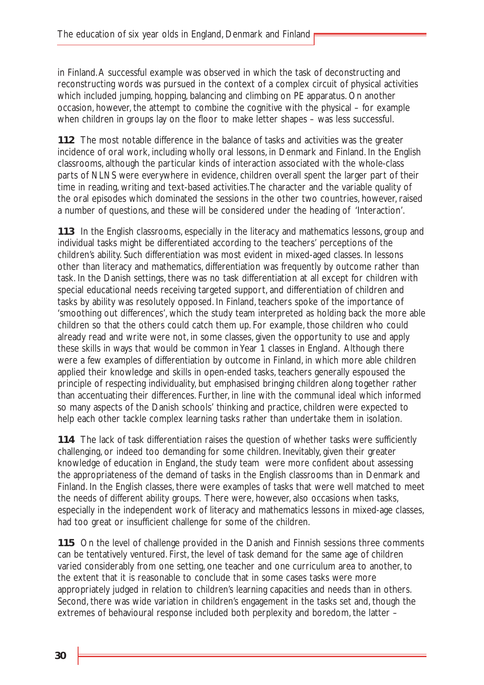in Finland.A successful example was observed in which the task of deconstructing and reconstructing words was pursued in the context of a complex circuit of physical activities which included jumping, hopping, balancing and climbing on PE apparatus. On another occasion, however, the attempt to combine the cognitive with the physical – for example when children in groups lay on the floor to make letter shapes – was less successful.

**112** The most notable difference in the balance of tasks and activities was the greater incidence of oral work, including wholly oral lessons, in Denmark and Finland. In the English classrooms, although the particular kinds of interaction associated with the whole-class parts of NLNS were everywhere in evidence, children overall spent the larger part of their time in reading, writing and text-based activities.The character and the variable quality of the oral episodes which dominated the sessions in the other two countries, however, raised a number of questions, and these will be considered under the heading of 'Interaction'.

**113** In the English classrooms, especially in the literacy and mathematics lessons, group and individual tasks might be differentiated according to the teachers' perceptions of the children's ability. Such differentiation was most evident in mixed-aged classes. In lessons other than literacy and mathematics, differentiation was frequently by outcome rather than task. In the Danish settings, there was no task differentiation at all except for children with special educational needs receiving targeted support, and differentiation of children and tasks by ability was resolutely opposed. In Finland, teachers spoke of the importance of 'smoothing out differences', which the study team interpreted as holding back the more able children so that the others could catch them up. For example, those children who could already read and write were not, in some classes, given the opportunity to use and apply these skills in ways that would be common in Year 1 classes in England. Although there were a few examples of differentiation by outcome in Finland, in which more able children applied their knowledge and skills in open-ended tasks, teachers generally espoused the principle of respecting individuality, but emphasised bringing children along together rather than accentuating their differences. Further, in line with the communal ideal which informed so many aspects of the Danish schools' thinking and practice, children were expected to help each other tackle complex learning tasks rather than undertake them in isolation.

**114** The lack of task differentiation raises the question of whether tasks were sufficiently challenging, or indeed too demanding for some children. Inevitably, given their greater knowledge of education in England, the study team were more confident about assessing the appropriateness of the demand of tasks in the English classrooms than in Denmark and Finland. In the English classes, there were examples of tasks that were well matched to meet the needs of different ability groups. There were, however, also occasions when tasks, especially in the independent work of literacy and mathematics lessons in mixed-age classes, had too great or insufficient challenge for some of the children.

**115** On the level of challenge provided in the Danish and Finnish sessions three comments can be tentatively ventured. First, the level of task demand for the same age of children varied considerably from one setting, one teacher and one curriculum area to another, to the extent that it is reasonable to conclude that in some cases tasks were more appropriately judged in relation to children's learning capacities and needs than in others. Second, there was wide variation in children's engagement in the tasks set and, though the extremes of behavioural response included both perplexity and boredom, the latter –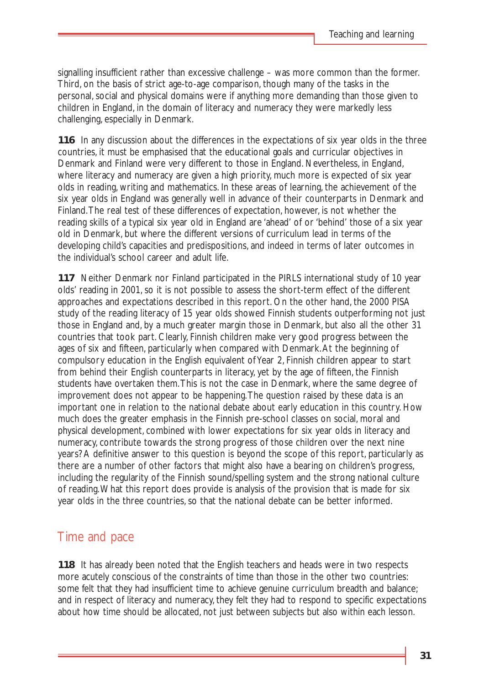signalling insufficient rather than excessive challenge – was more common than the former. Third, on the basis of strict age-to-age comparison, though many of the tasks in the personal, social and physical domains were if anything more demanding than those given to children in England, in the domain of literacy and numeracy they were markedly less challenging, especially in Denmark.

**116** In any discussion about the differences in the expectations of six year olds in the three countries, it must be emphasised that the educational goals and curricular objectives in Denmark and Finland were very different to those in England. Nevertheless, in England, where literacy and numeracy are given a high priority, much more is expected of six year olds in reading, writing and mathematics. In these areas of learning, the achievement of the six year olds in England was generally well in advance of their counterparts in Denmark and Finland.The real test of these differences of expectation, however, is not whether the reading skills of a typical six year old in England are 'ahead' of or 'behind' those of a six year old in Denmark, but where the different versions of curriculum lead in terms of the developing child's capacities and predispositions, and indeed in terms of later outcomes in the individual's school career and adult life.

**117** Neither Denmark nor Finland participated in the PIRLS international study of 10 year olds' reading in 2001, so it is not possible to assess the short-term effect of the different approaches and expectations described in this report. On the other hand, the 2000 PISA study of the reading literacy of 15 year olds showed Finnish students outperforming not just those in England and, by a much greater margin those in Denmark, but also all the other 31 countries that took part. Clearly, Finnish children make very good progress between the ages of six and fifteen, particularly when compared with Denmark.At the beginning of compulsory education in the English equivalent of Year 2, Finnish children appear to start from behind their English counterparts in literacy, yet by the age of fifteen, the Finnish students have overtaken them.This is not the case in Denmark, where the same degree of improvement does not appear to be happening.The question raised by these data is an important one in relation to the national debate about early education in this country. How much does the greater emphasis in the Finnish pre-school classes on social, moral and physical development, combined with lower expectations for six year olds in literacy and numeracy, contribute towards the strong progress of those children over the next nine years? A definitive answer to this question is beyond the scope of this report, particularly as there are a number of other factors that might also have a bearing on children's progress, including the regularity of the Finnish sound/spelling system and the strong national culture of reading.What this report does provide is analysis of the provision that is made for six year olds in the three countries, so that the national debate can be better informed.

### Time and pace

**118** It has already been noted that the English teachers and heads were in two respects more acutely conscious of the constraints of time than those in the other two countries: some felt that they had insufficient time to achieve genuine curriculum breadth and balance; and in respect of literacy and numeracy, they felt they had to respond to specific expectations about how time should be allocated, not just between subjects but also within each lesson.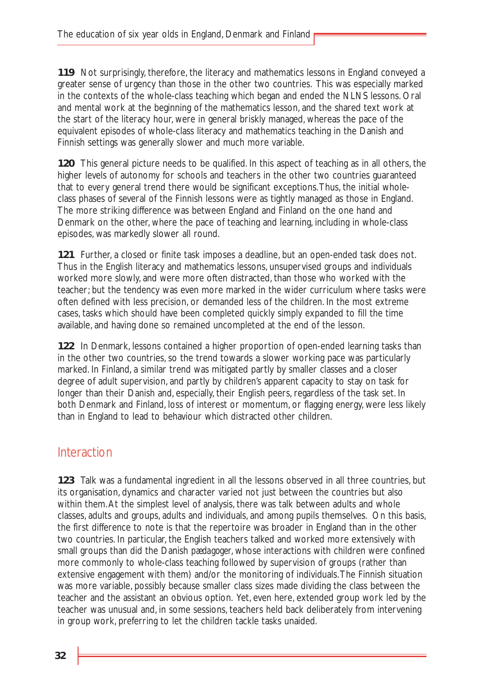**119** Not surprisingly, therefore, the literacy and mathematics lessons in England conveyed a greater sense of urgency than those in the other two countries. This was especially marked in the contexts of the whole-class teaching which began and ended the NLNS lessons. Oral and mental work at the beginning of the mathematics lesson, and the shared text work at the start of the literacy hour, were in general briskly managed, whereas the pace of the equivalent episodes of whole-class literacy and mathematics teaching in the Danish and Finnish settings was generally slower and much more variable.

**120** This general picture needs to be qualified. In this aspect of teaching as in all others, the higher levels of autonomy for schools and teachers in the other two countries guaranteed that to every general trend there would be significant exceptions.Thus, the initial wholeclass phases of several of the Finnish lessons were as tightly managed as those in England. The more striking difference was between England and Finland on the one hand and Denmark on the other, where the pace of teaching and learning, including in whole-class episodes, was markedly slower all round.

**121** Further, a closed or finite task imposes a deadline, but an open-ended task does not. Thus in the English literacy and mathematics lessons, unsupervised groups and individuals worked more slowly, and were more often distracted, than those who worked with the teacher; but the tendency was even more marked in the wider curriculum where tasks were often defined with less precision, or demanded less of the children. In the most extreme cases, tasks which should have been completed quickly simply expanded to fill the time available, and having done so remained uncompleted at the end of the lesson.

**122** In Denmark, lessons contained a higher proportion of open-ended learning tasks than in the other two countries, so the trend towards a slower working pace was particularly marked. In Finland, a similar trend was mitigated partly by smaller classes and a closer degree of adult supervision, and partly by children's apparent capacity to stay on task for longer than their Danish and, especially, their English peers, regardless of the task set. In both Denmark and Finland, loss of interest or momentum, or flagging energy, were less likely than in England to lead to behaviour which distracted other children.

# Interaction

**123** Talk was a fundamental ingredient in all the lessons observed in all three countries, but its organisation, dynamics and character varied not just between the countries but also within them.At the simplest level of analysis, there was talk between adults and whole classes, adults and groups, adults and individuals, and among pupils themselves. On this basis, the first difference to note is that the repertoire was broader in England than in the other two countries. In particular, the English teachers talked and worked more extensively with small groups than did the Danish *pædagoger*, whose interactions with children were confined more commonly to whole-class teaching followed by supervision of groups (rather than extensive engagement with them) and/or the monitoring of individuals.The Finnish situation was more variable, possibly because smaller class sizes made dividing the class between the teacher and the assistant an obvious option. Yet, even here, extended group work led by the teacher was unusual and, in some sessions, teachers held back deliberately from intervening in group work, preferring to let the children tackle tasks unaided.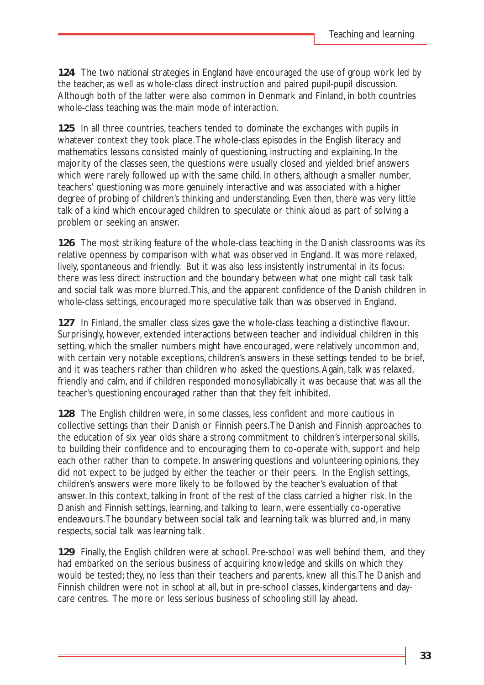**124** The two national strategies in England have encouraged the use of group work led by the teacher, as well as whole-class direct instruction and paired pupil-pupil discussion. Although both of the latter were also common in Denmark and Finland, in both countries whole-class teaching was the main mode of interaction.

**125** In all three countries, teachers tended to dominate the exchanges with pupils in whatever context they took place.The whole-class episodes in the English literacy and mathematics lessons consisted mainly of questioning, instructing and explaining. In the majority of the classes seen, the questions were usually closed and yielded brief answers which were rarely followed up with the same child. In others, although a smaller number, teachers' questioning was more genuinely interactive and was associated with a higher degree of probing of children's thinking and understanding. Even then, there was very little talk of a kind which encouraged children to speculate or think aloud as part of solving a problem or seeking an answer.

**126** The most striking feature of the whole-class teaching in the Danish classrooms was its relative openness by comparison with what was observed in England. It was more relaxed, lively, spontaneous and friendly. But it was also less insistently instrumental in its focus: there was less direct instruction and the boundary between what one might call task talk and social talk was more blurred.This, and the apparent confidence of the Danish children in whole-class settings, encouraged more speculative talk than was observed in England.

**127** In Finland, the smaller class sizes gave the whole-class teaching a distinctive flavour. Surprisingly, however, extended interactions between teacher and individual children in this setting, which the smaller numbers might have encouraged, were relatively uncommon and, with certain very notable exceptions, children's answers in these settings tended to be brief, and it was teachers rather than children who asked the questions.Again, talk was relaxed, friendly and calm, and if children responded monosyllabically it was because that was all the teacher's questioning encouraged rather than that they felt inhibited.

**128** The English children were, in some classes, less confident and more cautious in collective settings than their Danish or Finnish peers.The Danish and Finnish approaches to the education of six year olds share a strong commitment to children's interpersonal skills, to building their confidence and to encouraging them to co-operate with, support and help each other rather than to compete. In answering questions and volunteering opinions, they did not expect to be judged by either the teacher or their peers. In the English settings, children's answers were more likely to be followed by the teacher's evaluation of that answer. In this context, talking in front of the rest of the class carried a higher risk. In the Danish and Finnish settings, learning, and talking to learn, were essentially co-operative endeavours.The boundary between social talk and learning talk was blurred and, in many respects, social talk *was* learning talk.

**129** Finally, the English children were at school. Pre-school was well behind them, and they had embarked on the serious business of acquiring knowledge and skills on which they would be tested; they, no less than their teachers and parents, knew all this.The Danish and Finnish children were not in *school* at all, but in pre-school classes, kindergartens and daycare centres. The more or less serious business of schooling still lay ahead.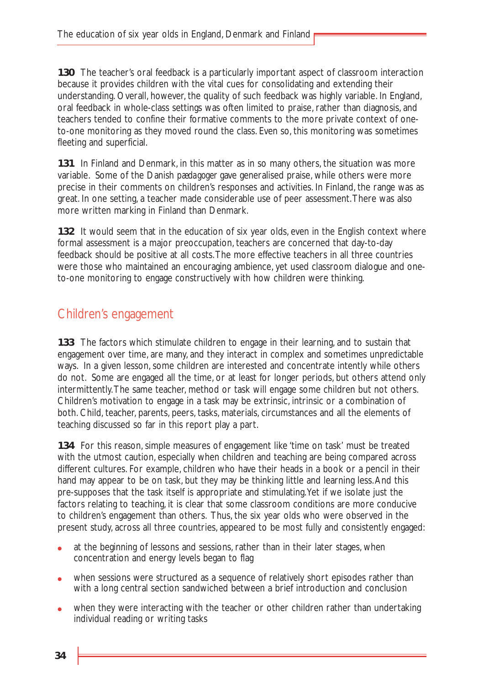**130** The teacher's oral feedback is a particularly important aspect of classroom interaction because it provides children with the vital cues for consolidating and extending their understanding. Overall, however, the quality of such feedback was highly variable. In England, oral feedback in whole-class settings was often limited to praise, rather than diagnosis, and teachers tended to confine their formative comments to the more private context of oneto-one monitoring as they moved round the class. Even so, this monitoring was sometimes fleeting and superficial.

**131** In Finland and Denmark, in this matter as in so many others, the situation was more variable. Some of the Danish *pædagoger* gave generalised praise, while others were more precise in their comments on children's responses and activities. In Finland, the range was as great. In one setting, a teacher made considerable use of peer assessment.There was also more written marking in Finland than Denmark.

**132** It would seem that in the education of six year olds, even in the English context where formal assessment is a major preoccupation, teachers are concerned that day-to-day feedback should be positive at all costs.The more effective teachers in all three countries were those who maintained an encouraging ambience, yet used classroom dialogue and oneto-one monitoring to engage constructively with how children were thinking.

### Children's engagement

**133** The factors which stimulate children to engage in their learning, and to sustain that engagement over time, are many, and they interact in complex and sometimes unpredictable ways. In a given lesson, some children are interested and concentrate intently while others do not. Some are engaged all the time, or at least for longer periods, but others attend only intermittently.The same teacher, method or task will engage some children but not others. Children's motivation to engage in a task may be extrinsic, intrinsic or a combination of both. Child, teacher, parents, peers, tasks, materials, circumstances and all the elements of teaching discussed so far in this report play a part.

**134** For this reason, simple measures of engagement like 'time on task' must be treated with the utmost caution, especially when children and teaching are being compared across different cultures. For example, children who have their heads in a book or a pencil in their hand may appear to be on task, but they may be thinking little and learning less.And this pre-supposes that the task itself is appropriate and stimulating.Yet if we isolate just the factors relating to teaching, it is clear that some classroom conditions are more conducive to children's engagement than others. Thus, the six year olds who were observed in the present study, across all three countries, appeared to be most fully and consistently engaged:

- at the beginning of lessons and sessions, rather than in their later stages, when concentration and energy levels began to flag
- when sessions were structured as a sequence of relatively short episodes rather than with a long central section sandwiched between a brief introduction and conclusion
- when they were interacting with the teacher or other children rather than undertaking individual reading or writing tasks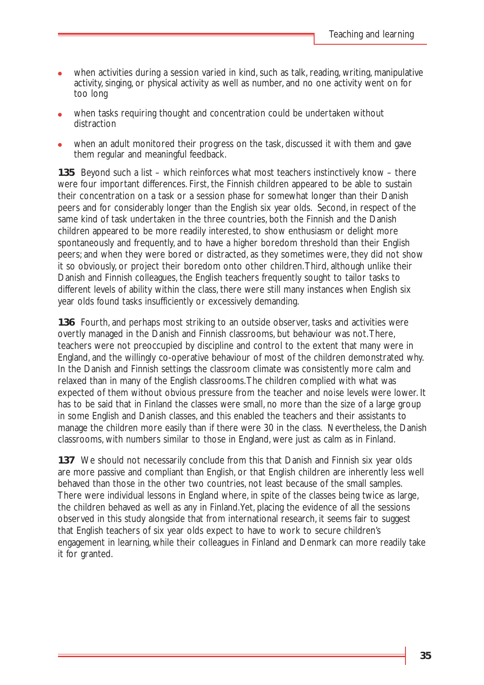- when activities during a session varied in kind, such as talk, reading, writing, manipulative activity, singing, or physical activity as well as number, and no one activity went on for too long
- when tasks requiring thought and concentration could be undertaken without distraction
- when an adult monitored their progress on the task, discussed it with them and gave them regular and meaningful feedback.

**135** Beyond such a list – which reinforces what most teachers instinctively know – there were four important differences. First, the Finnish children appeared to be able to sustain their concentration on a task or a session phase for somewhat longer than their Danish peers and for considerably longer than the English six year olds. Second, in respect of the same kind of task undertaken in the three countries, both the Finnish and the Danish children appeared to be more readily interested, to show enthusiasm or delight more spontaneously and frequently, and to have a higher boredom threshold than their English peers; and when they were bored or distracted, as they sometimes were, they did not show it so obviously, or project their boredom onto other children.Third, although unlike their Danish and Finnish colleagues, the English teachers frequently sought to tailor tasks to different levels of ability within the class, there were still many instances when English six year olds found tasks insufficiently or excessively demanding.

**136** Fourth, and perhaps most striking to an outside observer, tasks and activities were overtly managed in the Danish and Finnish classrooms, but behaviour was not.There, teachers were not preoccupied by discipline and control to the extent that many were in England, and the willingly co-operative behaviour of most of the children demonstrated why. In the Danish and Finnish settings the classroom climate was consistently more calm and relaxed than in many of the English classrooms.The children complied with what was expected of them without obvious pressure from the teacher and noise levels were lower. It has to be said that in Finland the classes were small, no more than the size of a large group in some English and Danish classes, and this enabled the teachers and their assistants to manage the children more easily than if there were 30 in the class. Nevertheless, the Danish classrooms, with numbers similar to those in England, were just as calm as in Finland.

**137** We should not necessarily conclude from this that Danish and Finnish six year olds are more passive and compliant than English, or that English children are inherently less well behaved than those in the other two countries, not least because of the small samples. There were individual lessons in England where, in spite of the classes being twice as large, the children behaved as well as any in Finland.Yet, placing the evidence of all the sessions observed in this study alongside that from international research, it seems fair to suggest that English teachers of six year olds expect to have to work to secure children's engagement in learning, while their colleagues in Finland and Denmark can more readily take it for granted.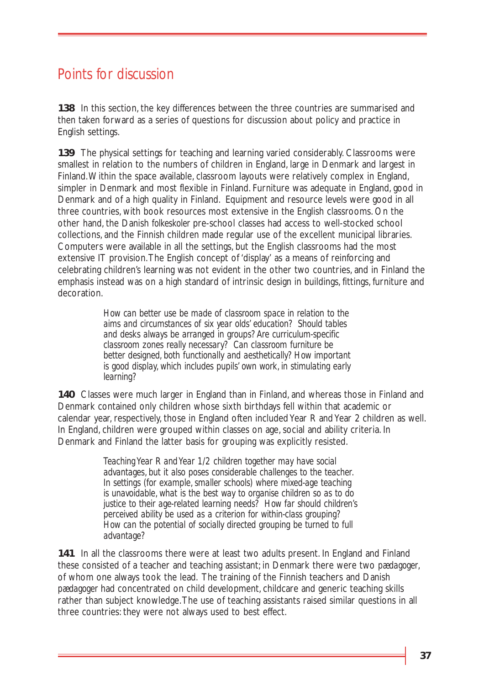# Points for discussion

**138** In this section, the key differences between the three countries are summarised and then taken forward as a series of questions for discussion about policy and practice in English settings.

**139** The physical settings for teaching and learning varied considerably. Classrooms were smallest in relation to the numbers of children in England, large in Denmark and largest in Finland.Within the space available, classroom layouts were relatively complex in England, simpler in Denmark and most flexible in Finland. Furniture was adequate in England, good in Denmark and of a high quality in Finland. Equipment and resource levels were good in all three countries, with book resources most extensive in the English classrooms. On the other hand, the Danish *folkeskoler* pre-school classes had access to well-stocked school collections, and the Finnish children made regular use of the excellent municipal libraries. Computers were available in all the settings, but the English classrooms had the most extensive IT provision.The English concept of 'display' as a means of reinforcing and celebrating children's learning was not evident in the other two countries, and in Finland the emphasis instead was on a high standard of intrinsic design in buildings, fittings, furniture and decoration.

> *How can better use be made of classroom space in relation to the aims and circumstances of six year olds' education? Should tables and desks always be arranged in groups? Are curriculum-specific classroom zones really necessary? Can classroom furniture be better designed, both functionally and aesthetically? How important is good display, which includes pupils' own work, in stimulating early learning?*

**140** Classes were much larger in England than in Finland, and whereas those in Finland and Denmark contained only children whose sixth birthdays fell within that academic or calendar year, respectively, those in England often included Year R and Year 2 children as well. In England, children were grouped within classes on age, social and ability criteria. In Denmark and Finland the latter basis for grouping was explicitly resisted.

> *Teaching Year R and Year 1/2 children together may have social advantages, but it also poses considerable challenges to the teacher. In settings (for example, smaller schools) where mixed-age teaching is unavoidable, what is the best way to organise children so as to do justice to their age-related learning needs? How far should children's perceived ability be used as a criterion for within-class grouping? How can the potential of socially directed grouping be turned to full advantage?*

**141** In all the classrooms there were at least two adults present. In England and Finland these consisted of a teacher and teaching assistant; in Denmark there were two *pædagoger*, of whom one always took the lead. The training of the Finnish teachers and Danish *pædagoger* had concentrated on child development, childcare and generic teaching skills rather than subject knowledge.The use of teaching assistants raised similar questions in all three countries: they were not always used to best effect.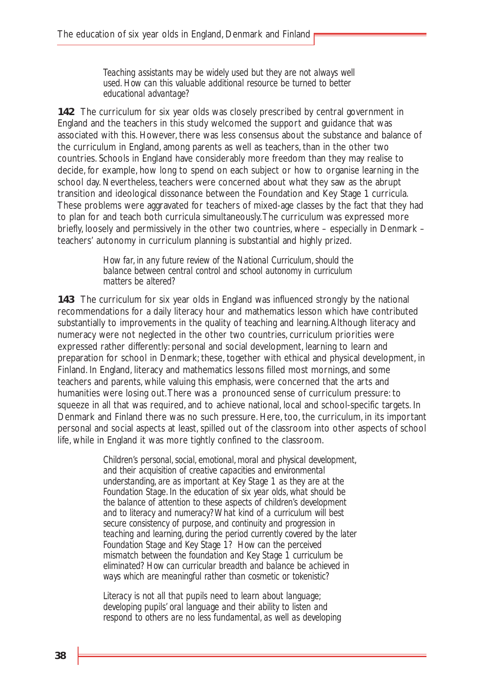*Teaching assistants may be widely used but they are not always well used. How can this valuable additional resource be turned to better educational advantage?* 

**142** The curriculum for six year olds was closely prescribed by central government in England and the teachers in this study welcomed the support and guidance that was associated with this. However, there was less consensus about the substance and balance of the curriculum in England, among parents as well as teachers, than in the other two countries. Schools in England have considerably more freedom than they may realise to decide, for example, how long to spend on each subject or how to organise learning in the school day. Nevertheless, teachers were concerned about what they saw as the abrupt transition and ideological dissonance between the Foundation and Key Stage 1 curricula. These problems were aggravated for teachers of mixed-age classes by the fact that they had to plan for and teach both curricula simultaneously.The curriculum was expressed more briefly, loosely and permissively in the other two countries, where – especially in Denmark – teachers' autonomy in curriculum planning is substantial and highly prized.

> *How far, in any future review of the National Curriculum, should the balance between central control and school autonomy in curriculum matters be altered?*

**143** The curriculum for six year olds in England was influenced strongly by the national recommendations for a daily literacy hour and mathematics lesson which have contributed substantially to improvements in the quality of teaching and learning.Although literacy and numeracy were not neglected in the other two countries, curriculum priorities were expressed rather differently: personal and social development, learning to learn and preparation for school in Denmark; these, together with ethical and physical development, in Finland. In England, literacy and mathematics lessons filled most mornings, and some teachers and parents, while valuing this emphasis, were concerned that the arts and humanities were losing out.There was a pronounced sense of curriculum pressure: to squeeze in all that was required, and to achieve national, local and school-specific targets. In Denmark and Finland there was no such pressure. Here, too, the curriculum, in its important personal and social aspects at least, spilled out of the classroom into other aspects of school life, while in England it was more tightly confined to the classroom.

> *Children's personal, social, emotional, moral and physical development, and their acquisition of creative capacities and environmental understanding, are as important at Key Stage 1 as they are at the Foundation Stage. In the education of six year olds, what should be the balance of attention to these aspects of children's development and to literacy and numeracy? What kind of a curriculum will best secure consistency of purpose, and continuity and progression in teaching and learning, during the period currently covered by the later Foundation Stage and Key Stage 1? How can the perceived mismatch between the foundation and Key Stage 1 curriculum be eliminated? How can curricular breadth and balance be achieved in ways which are meaningful rather than cosmetic or tokenistic?*

*Literacy is not all that pupils need to learn about language; developing pupils' oral language and their ability to listen and respond to others are no less fundamental, as well as developing*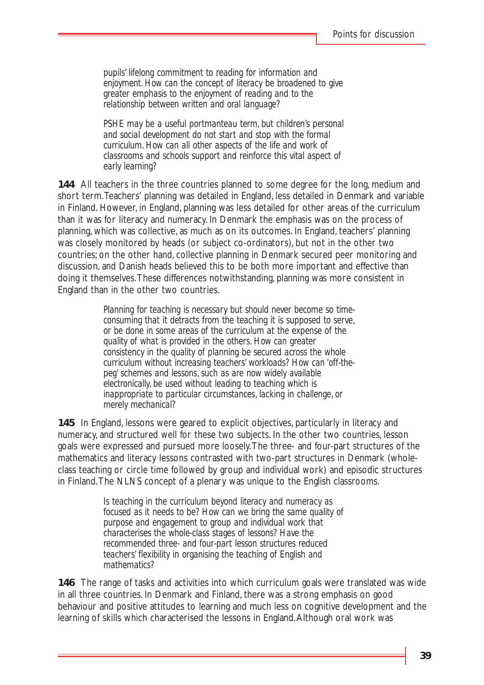*pupils' lifelong commitment to reading for information and enjoyment. How can the concept of literacy be broadened to give greater emphasis to the enjoyment of reading and to the relationship between written and oral language?*

*PSHE may be a useful portmanteau term, but children's personal and social development do not start and stop with the formal curriculum. How can all other aspects of the life and work of classrooms and schools support and reinforce this vital aspect of early learning?*

**144** All teachers in the three countries planned to some degree for the long, medium and short term.Teachers' planning was detailed in England, less detailed in Denmark and variable in Finland. However, in England, planning was less detailed for other areas of the curriculum than it was for literacy and numeracy. In Denmark the emphasis was on the process of planning, which was collective, as much as on its outcomes. In England, teachers' planning was closely monitored by heads (or subject co-ordinators), but not in the other two countries; on the other hand, collective planning in Denmark secured peer monitoring and discussion, and Danish heads believed this to be both more important and effective than doing it themselves.These differences notwithstanding, planning was more consistent in England than in the other two countries.

> *Planning for teaching is necessary but should never become so timeconsuming that it detracts from the teaching it is supposed to serve, or be done in some areas of the curriculum at the expense of the quality of what is provided in the others. How can greater consistency in the quality of planning be secured across the whole curriculum without increasing teachers' workloads? How can 'off-thepeg' schemes and lessons, such as are now widely available electronically, be used without leading to teaching which is inappropriate to particular circumstances, lacking in challenge, or merely mechanical?*

**145** In England, lessons were geared to explicit objectives, particularly in literacy and numeracy, and structured well for these two subjects. In the other two countries, lesson goals were expressed and pursued more loosely.The three- and four-part structures of the mathematics and literacy lessons contrasted with two-part structures in Denmark (wholeclass teaching or circle time followed by group and individual work) and episodic structures in Finland.The NLNS concept of a plenary was unique to the English classrooms.

> *Is teaching in the curriculum beyond literacy and numeracy as focused as it needs to be? How can we bring the same quality of purpose and engagement to group and individual work that characterises the whole-class stages of lessons? Have the recommended three- and four-part lesson structures reduced teachers' flexibility in organising the teaching of English and mathematics?*

**146** The range of tasks and activities into which curriculum goals were translated was wide in all three countries. In Denmark and Finland, there was a strong emphasis on good behaviour and positive attitudes to learning and much less on cognitive development and the learning of skills which characterised the lessons in England.Although oral work was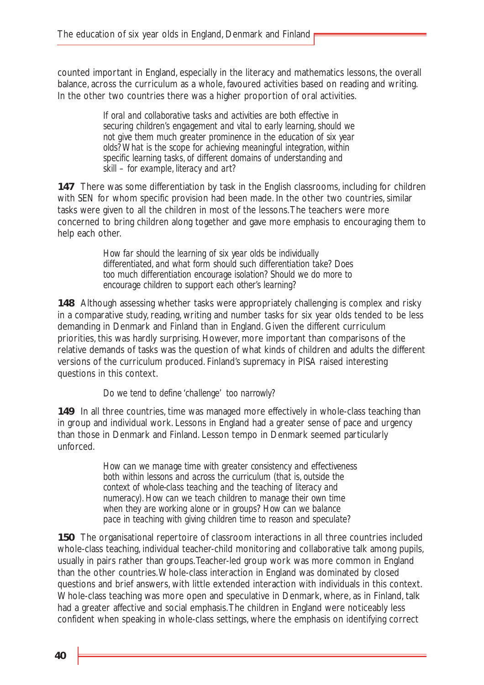counted important in England, especially in the literacy and mathematics lessons, the overall balance, across the curriculum as a whole, favoured activities based on reading and writing. In the other two countries there was a higher proportion of oral activities.

> *If oral and collaborative tasks and activities are both effective in securing children's engagement and vital to early learning, should we not give them much greater prominence in the education of six year olds? What is the scope for achieving meaningful integration, within specific learning tasks, of different domains of understanding and skill – for example, literacy and art?*

**147** There was some differentiation by task in the English classrooms, including for children with SEN for whom specific provision had been made. In the other two countries, similar tasks were given to all the children in most of the lessons.The teachers were more concerned to bring children along together and gave more emphasis to encouraging them to help each other.

> *How far should the learning of six year olds be individually differentiated, and what form should such differentiation take? Does too much differentiation encourage isolation? Should we do more to encourage children to support each other's learning?*

**148** Although assessing whether tasks were appropriately challenging is complex and risky in a comparative study, reading, writing and number tasks for six year olds tended to be less demanding in Denmark and Finland than in England. Given the different curriculum priorities, this was hardly surprising. However, more important than comparisons of the relative demands of tasks was the question of what kinds of children and adults the different versions of the curriculum produced. Finland's supremacy in PISA raised interesting questions in this context.

*Do we tend to define 'challenge' too narrowly?* 

**149** In all three countries, time was managed more effectively in whole-class teaching than in group and individual work. Lessons in England had a greater sense of pace and urgency than those in Denmark and Finland. Lesson tempo in Denmark seemed particularly unforced.

> *How can we manage time with greater consistency and effectiveness both within lessons and across the curriculum (that is, outside the context of whole-class teaching and the teaching of literacy and numeracy). How can we teach children to manage their own time when they are working alone or in groups? How can we balance pace in teaching with giving children time to reason and speculate?*

**150** The organisational repertoire of classroom interactions in all three countries included whole-class teaching, individual teacher-child monitoring and collaborative talk among pupils, usually in pairs rather than groups.Teacher-led group work was more common in England than the other countries.Whole-class interaction in England was dominated by closed questions and brief answers, with little extended interaction with individuals in this context. Whole-class teaching was more open and speculative in Denmark, where, as in Finland, talk had a greater affective and social emphasis.The children in England were noticeably less confident when speaking in whole-class settings, where the emphasis on identifying correct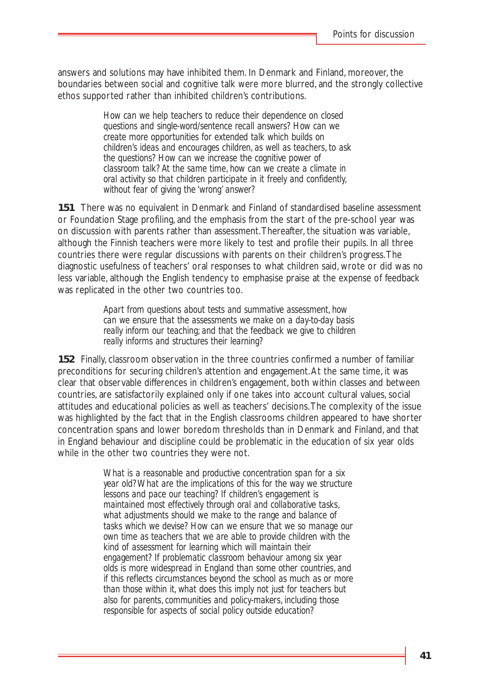answers and solutions may have inhibited them. In Denmark and Finland, moreover, the boundaries between social and cognitive talk were more blurred, and the strongly collective ethos supported rather than inhibited children's contributions.

> *How can we help teachers to reduce their dependence on closed questions and single-word/sentence recall answers? How can we create more opportunities for extended talk which builds on children's ideas and encourages children, as well as teachers, to ask the questions? How can we increase the cognitive power of classroom talk? At the same time, how can we create a climate in oral activity so that children participate in it freely and confidently, without fear of giving the 'wrong' answer?*

**151** There was no equivalent in Denmark and Finland of standardised baseline assessment or Foundation Stage profiling, and the emphasis from the start of the pre-school year was on discussion with parents rather than assessment.Thereafter, the situation was variable, although the Finnish teachers were more likely to test and profile their pupils. In all three countries there were regular discussions with parents on their children's progress.The diagnostic usefulness of teachers' oral responses to what children said, wrote or did was no less variable, although the English tendency to emphasise praise at the expense of feedback was replicated in the other two countries too.

> *Apart from questions about tests and summative assessment, how can we ensure that the assessments we make on a day-to-day basis really inform our teaching; and that the feedback we give to children really informs and structures their learning?*

**152** Finally, classroom observation in the three countries confirmed a number of familiar preconditions for securing children's attention and engagement.At the same time, it was clear that observable differences in children's engagement, both within classes and between countries, are satisfactorily explained only if one takes into account cultural values, social attitudes and educational policies as well as teachers' decisions.The complexity of the issue was highlighted by the fact that in the English classrooms children appeared to have shorter concentration spans and lower boredom thresholds than in Denmark and Finland, and that in England behaviour and discipline could be problematic in the education of six year olds while in the other two countries they were not.

> *What is a reasonable and productive concentration span for a six year old? What are the implications of this for the way we structure lessons and pace our teaching? If children's engagement is maintained most effectively through oral and collaborative tasks, what adjustments should we make to the range and balance of tasks which we devise? How can we ensure that we so manage our own time as teachers that we are able to provide children with the kind of assessment for learning which will maintain their engagement? If problematic classroom behaviour among six year olds is more widespread in England than some other countries, and if this reflects circumstances beyond the school as much as or more than those within it, what does this imply not just for teachers but also for parents, communities and policy-makers, including those responsible for aspects of social policy outside education?*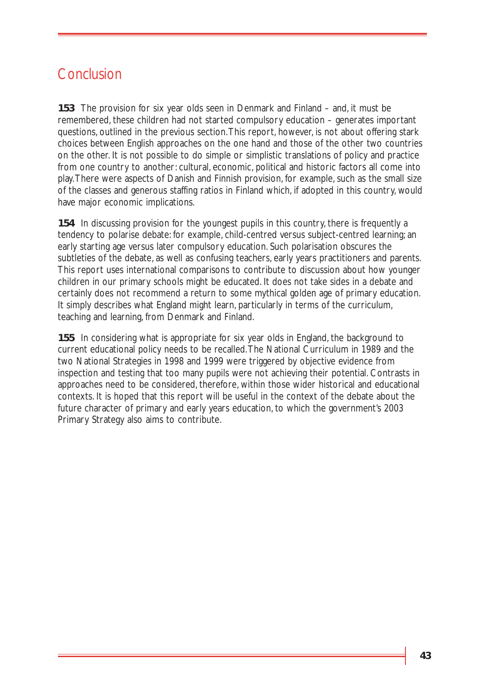# Conclusion

**153** The provision for six year olds seen in Denmark and Finland – and, it must be remembered, these children had not started compulsory education – generates important questions, outlined in the previous section.This report, however, is not about offering stark choices between English approaches on the one hand and those of the other two countries on the other. It is not possible to do simple or simplistic translations of policy and practice from one country to another: cultural, economic, political and historic factors all come into play.There were aspects of Danish and Finnish provision, for example, such as the small size of the classes and generous staffing ratios in Finland which, if adopted in this country, would have major economic implications.

**154** In discussing provision for the youngest pupils in this country, there is frequently a tendency to polarise debate: for example, child-centred versus subject-centred learning; an early starting age versus later compulsory education. Such polarisation obscures the subtleties of the debate, as well as confusing teachers, early years practitioners and parents. This report uses international comparisons to contribute to discussion about how younger children in our primary schools might be educated. It does not take sides in a debate and certainly does not recommend a return to some mythical golden age of primary education. It simply describes what England might learn, particularly in terms of the curriculum, teaching and learning, from Denmark and Finland.

**155** In considering what is appropriate for six year olds in England, the background to current educational policy needs to be recalled.The National Curriculum in 1989 and the two National Strategies in 1998 and 1999 were triggered by objective evidence from inspection and testing that too many pupils were not achieving their potential. Contrasts in approaches need to be considered, therefore, within those wider historical and educational contexts. It is hoped that this report will be useful in the context of the debate about the future character of primary and early years education, to which the government's 2003 Primary Strategy also aims to contribute.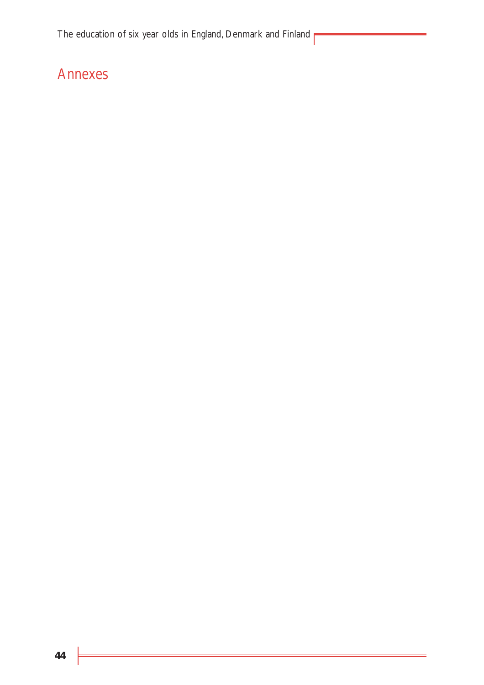# Annexes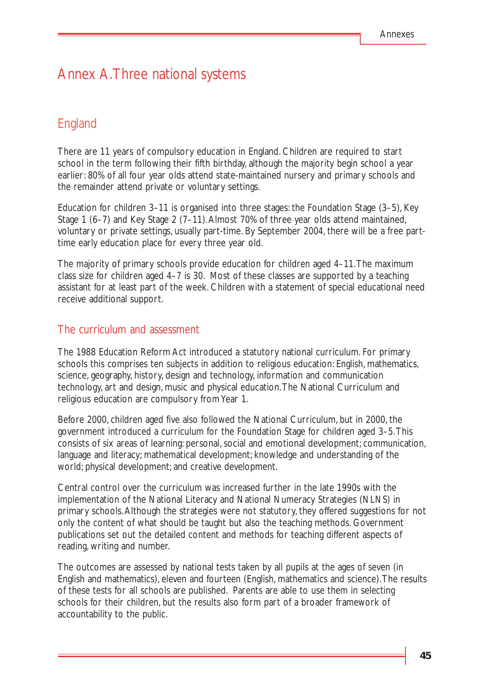# Annex A.Three national systems

# England

There are 11 years of compulsory education in England. Children are required to start school in the term following their fifth birthday, although the majority begin school a year earlier: 80% of all four year olds attend state-maintained nursery and primary schools and the remainder attend private or voluntary settings.

Education for children 3–11 is organised into three stages: the Foundation Stage (3–5), Key Stage 1 (6–7) and Key Stage 2 (7–11).Almost 70% of three year olds attend maintained, voluntary or private settings, usually part-time. By September 2004, there will be a free parttime early education place for every three year old.

The majority of primary schools provide education for children aged 4–11.The maximum class size for children aged 4–7 is 30. Most of these classes are supported by a teaching assistant for at least part of the week. Children with a statement of special educational need receive additional support.

#### The curriculum and assessment

The 1988 Education Reform Act introduced a statutory national curriculum. For primary schools this comprises ten subjects in addition to religious education: English, mathematics, science, geography, history, design and technology, information and communication technology, art and design, music and physical education.The National Curriculum and religious education are compulsory from Year 1.

Before 2000, children aged five also followed the National Curriculum, but in 2000, the government introduced a curriculum for the Foundation Stage for children aged 3–5.This consists of six areas of learning: personal, social and emotional development; communication, language and literacy; mathematical development; knowledge and understanding of the world; physical development; and creative development.

Central control over the curriculum was increased further in the late 1990s with the implementation of the National Literacy and National Numeracy Strategies (NLNS) in primary schools.Although the strategies were not statutory, they offered suggestions for not only the content of what should be taught but also the teaching methods. Government publications set out the detailed content and methods for teaching different aspects of reading, writing and number.

The outcomes are assessed by national tests taken by all pupils at the ages of seven (in English and mathematics), eleven and fourteen (English, mathematics and science).The results of these tests for all schools are published. Parents are able to use them in selecting schools for their children, but the results also form part of a broader framework of accountability to the public.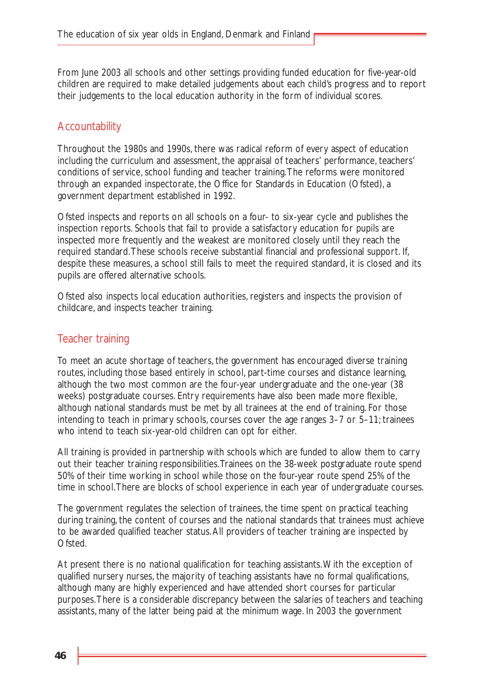From June 2003 all schools and other settings providing funded education for five-year-old children are required to make detailed judgements about each child's progress and to report their judgements to the local education authority in the form of individual scores.

### **Accountability**

Throughout the 1980s and 1990s, there was radical reform of every aspect of education including the curriculum and assessment, the appraisal of teachers' performance, teachers' conditions of service, school funding and teacher training.The reforms were monitored through an expanded inspectorate, the Office for Standards in Education (Ofsted), a government department established in 1992.

Ofsted inspects and reports on all schools on a four- to six-year cycle and publishes the inspection reports. Schools that fail to provide a satisfactory education for pupils are inspected more frequently and the weakest are monitored closely until they reach the required standard.These schools receive substantial financial and professional support. If, despite these measures, a school still fails to meet the required standard, it is closed and its pupils are offered alternative schools.

Ofsted also inspects local education authorities, registers and inspects the provision of childcare, and inspects teacher training.

#### Teacher training

To meet an acute shortage of teachers, the government has encouraged diverse training routes, including those based entirely in school, part-time courses and distance learning, although the two most common are the four-year undergraduate and the one-year (38 weeks) postgraduate courses. Entry requirements have also been made more flexible, although national standards must be met by all trainees at the end of training. For those intending to teach in primary schools, courses cover the age ranges 3–7 or 5–11; trainees who intend to teach six-year-old children can opt for either.

All training is provided in partnership with schools which are funded to allow them to carry out their teacher training responsibilities.Trainees on the 38-week postgraduate route spend 50% of their time working in school while those on the four-year route spend 25% of the time in school.There are blocks of school experience in each year of undergraduate courses.

The government regulates the selection of trainees, the time spent on practical teaching during training, the content of courses and the national standards that trainees must achieve to be awarded qualified teacher status.All providers of teacher training are inspected by Ofsted.

At present there is no national qualification for teaching assistants.With the exception of qualified nursery nurses, the majority of teaching assistants have no formal qualifications, although many are highly experienced and have attended short courses for particular purposes.There is a considerable discrepancy between the salaries of teachers and teaching assistants, many of the latter being paid at the minimum wage. In 2003 the government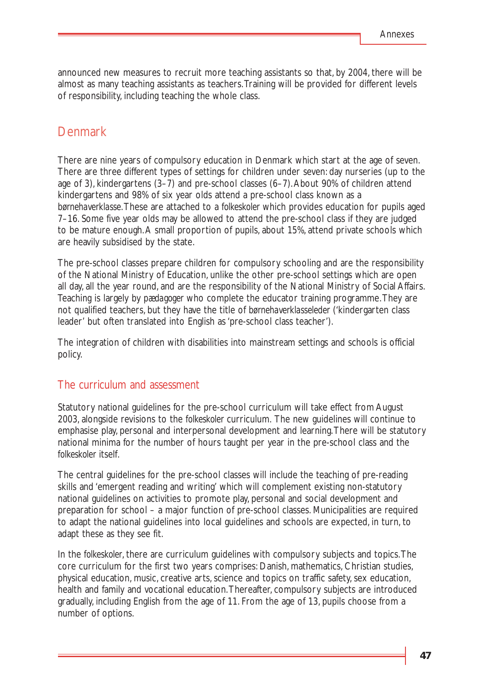announced new measures to recruit more teaching assistants so that, by 2004, there will be almost as many teaching assistants as teachers.Training will be provided for different levels of responsibility, including teaching the whole class.

### Denmark

There are nine years of compulsory education in Denmark which start at the age of seven. There are three different types of settings for children under seven: day nurseries (up to the age of 3), kindergartens (3–7) and pre-school classes (6–7).About 90% of children attend kindergartens and 98% of six year olds attend a pre-school class known as a *børnehaverklasse*.These are attached to a *folkeskoler* which provides education for pupils aged 7–16. Some five year olds may be allowed to attend the pre-school class if they are judged to be mature enough.A small proportion of pupils, about 15%, attend private schools which are heavily subsidised by the state.

The pre-school classes prepare children for compulsory schooling and are the responsibility of the National Ministry of Education, unlike the other pre-school settings which are open all day, all the year round, and are the responsibility of the National Ministry of Social Affairs. Teaching is largely by *pædagoger* who complete the educator training programme.They are not qualified teachers, but they have the title of *børnehaverklasseleder* ('kindergarten class leader' but often translated into English as 'pre-school class teacher').

The integration of children with disabilities into mainstream settings and schools is official policy.

#### The curriculum and assessment

Statutory national guidelines for the pre-school curriculum will take effect from August 2003, alongside revisions to the *folkeskoler* curriculum. The new guidelines will continue to emphasise play, personal and interpersonal development and learning.There will be statutory national minima for the number of hours taught per year in the pre-school class and the *folkeskoler* itself.

The central guidelines for the pre-school classes will include the teaching of pre-reading skills and 'emergent reading and writing' which will complement existing non-statutory national guidelines on activities to promote play, personal and social development and preparation for school – a major function of pre-school classes. Municipalities are required to adapt the national guidelines into local guidelines and schools are expected, in turn, to adapt these as they see fit.

In the *folkeskoler*, there are curriculum guidelines with compulsory subjects and topics.The core curriculum for the first two years comprises: Danish, mathematics, Christian studies, physical education, music, creative arts, science and topics on traffic safety, sex education, health and family and vocational education.Thereafter, compulsory subjects are introduced gradually, including English from the age of 11. From the age of 13, pupils choose from a number of options.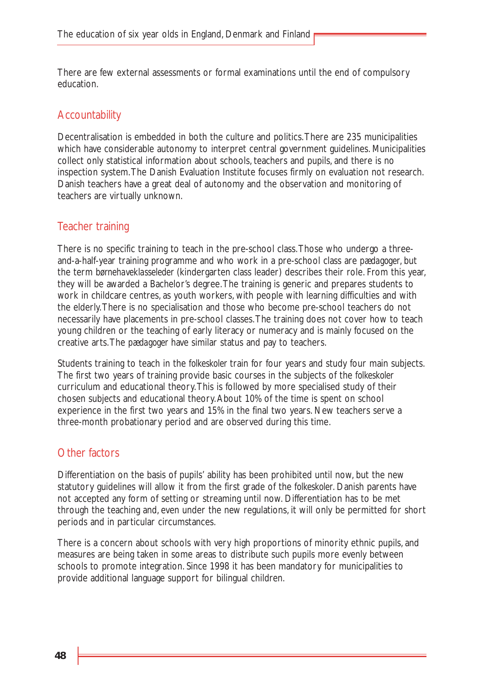There are few external assessments or formal examinations until the end of compulsory education.

### **Accountability**

Decentralisation is embedded in both the culture and politics.There are 235 municipalities which have considerable autonomy to interpret central government guidelines. Municipalities collect only statistical information about schools, teachers and pupils, and there is no inspection system.The Danish Evaluation Institute focuses firmly on evaluation not research. Danish teachers have a great deal of autonomy and the observation and monitoring of teachers are virtually unknown.

#### Teacher training

There is no specific training to teach in the pre-school class.Those who undergo a threeand-a-half-year training programme and who work in a pre-school class are *pædagoger*, but the term *børnehaveklasseleder* (kindergarten class leader) describes their role. From this year, they will be awarded a Bachelor's degree.The training is generic and prepares students to work in childcare centres, as youth workers, with people with learning difficulties and with the elderly.There is no specialisation and those who become pre-school teachers do not necessarily have placements in pre-school classes.The training does not cover how to teach young children or the teaching of early literacy or numeracy and is mainly focused on the creative arts.The *pædagoger* have similar status and pay to teachers.

Students training to teach in the *folkeskoler* train for four years and study four main subjects. The first two years of training provide basic courses in the subjects of the *folkeskoler* curriculum and educational theory.This is followed by more specialised study of their chosen subjects and educational theory.About 10% of the time is spent on school experience in the first two years and 15% in the final two years. New teachers serve a three-month probationary period and are observed during this time.

### Other factors

Differentiation on the basis of pupils' ability has been prohibited until now, but the new statutory guidelines will allow it from the first grade of the *folkeskoler*. Danish parents have not accepted any form of setting or streaming until now. Differentiation has to be met through the teaching and, even under the new regulations, it will only be permitted for short periods and in particular circumstances.

There is a concern about schools with very high proportions of minority ethnic pupils, and measures are being taken in some areas to distribute such pupils more evenly between schools to promote integration. Since 1998 it has been mandatory for municipalities to provide additional language support for bilingual children.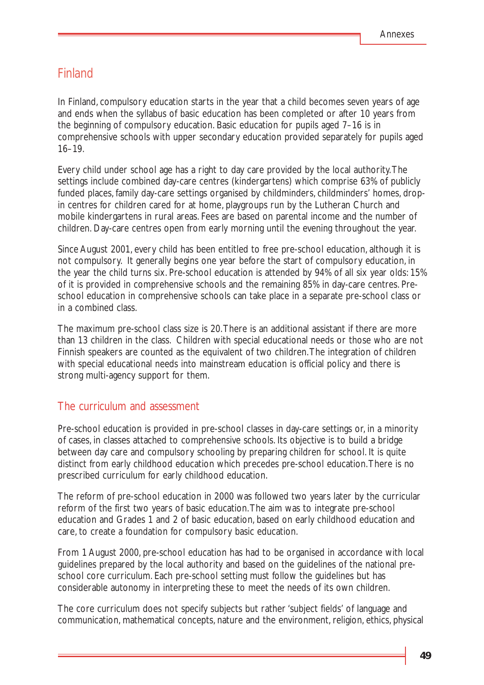### Finland

In Finland, compulsory education starts in the year that a child becomes seven years of age and ends when the syllabus of basic education has been completed or after 10 years from the beginning of compulsory education. Basic education for pupils aged 7–16 is in comprehensive schools with upper secondary education provided separately for pupils aged 16–19.

Every child under school age has a right to day care provided by the local authority.The settings include combined day-care centres (kindergartens) which comprise 63% of publicly funded places, family day-care settings organised by childminders, childminders' homes, dropin centres for children cared for at home, playgroups run by the Lutheran Church and mobile kindergartens in rural areas. Fees are based on parental income and the number of children. Day-care centres open from early morning until the evening throughout the year.

Since August 2001, every child has been entitled to free pre-school education, although it is not compulsory. It generally begins one year before the start of compulsory education, in the year the child turns six. Pre-school education is attended by 94% of all six year olds: 15% of it is provided in comprehensive schools and the remaining 85% in day-care centres. Preschool education in comprehensive schools can take place in a separate pre-school class or in a combined class.

The maximum pre-school class size is 20.There is an additional assistant if there are more than 13 children in the class. Children with special educational needs or those who are not Finnish speakers are counted as the equivalent of two children.The integration of children with special educational needs into mainstream education is official policy and there is strong multi-agency support for them.

#### The curriculum and assessment

Pre-school education is provided in pre-school classes in day-care settings or, in a minority of cases, in classes attached to comprehensive schools. Its objective is to build a bridge between day care and compulsory schooling by preparing children for school. It is quite distinct from early childhood education which precedes pre-school education.There is no prescribed curriculum for early childhood education.

The reform of pre-school education in 2000 was followed two years later by the curricular reform of the first two years of basic education.The aim was to integrate pre-school education and Grades 1 and 2 of basic education, based on early childhood education and care, to create a foundation for compulsory basic education.

From 1 August 2000, pre-school education has had to be organised in accordance with local guidelines prepared by the local authority and based on the guidelines of the national preschool core curriculum. Each pre-school setting must follow the guidelines but has considerable autonomy in interpreting these to meet the needs of its own children.

The core curriculum does not specify subjects but rather 'subject fields' of language and communication, mathematical concepts, nature and the environment, religion, ethics, physical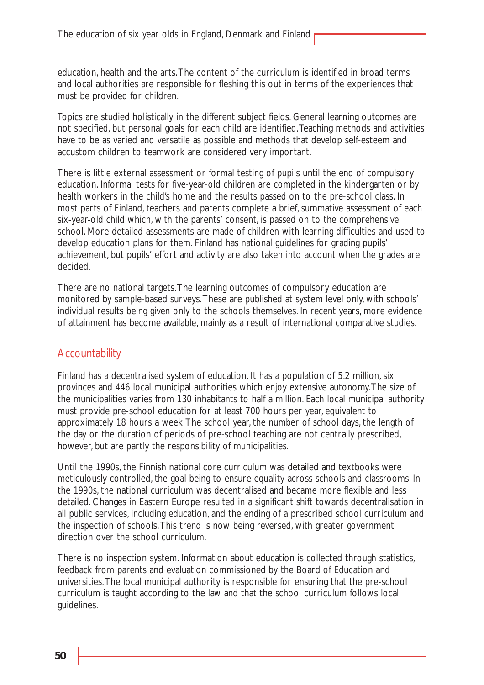education, health and the arts.The content of the curriculum is identified in broad terms and local authorities are responsible for fleshing this out in terms of the experiences that must be provided for children.

Topics are studied holistically in the different subject fields. General learning outcomes are not specified, but personal goals for each child are identified.Teaching methods and activities have to be as varied and versatile as possible and methods that develop self-esteem and accustom children to teamwork are considered very important.

There is little external assessment or formal testing of pupils until the end of compulsory education. Informal tests for five-year-old children are completed in the kindergarten or by health workers in the child's home and the results passed on to the pre-school class. In most parts of Finland, teachers and parents complete a brief, summative assessment of each six-year-old child which, with the parents' consent, is passed on to the comprehensive school. More detailed assessments are made of children with learning difficulties and used to develop education plans for them. Finland has national guidelines for grading pupils' achievement, but pupils' effort and activity are also taken into account when the grades are decided.

There are no national targets.The learning outcomes of compulsory education are monitored by sample-based surveys.These are published at system level only, with schools' individual results being given only to the schools themselves. In recent years, more evidence of attainment has become available, mainly as a result of international comparative studies.

### **Accountability**

Finland has a decentralised system of education. It has a population of 5.2 million, six provinces and 446 local municipal authorities which enjoy extensive autonomy.The size of the municipalities varies from 130 inhabitants to half a million. Each local municipal authority must provide pre-school education for at least 700 hours per year, equivalent to approximately 18 hours a week.The school year, the number of school days, the length of the day or the duration of periods of pre-school teaching are not centrally prescribed, however, but are partly the responsibility of municipalities.

Until the 1990s, the Finnish national core curriculum was detailed and textbooks were meticulously controlled, the goal being to ensure equality across schools and classrooms. In the 1990s, the national curriculum was decentralised and became more flexible and less detailed. Changes in Eastern Europe resulted in a significant shift towards decentralisation in all public services, including education, and the ending of a prescribed school curriculum and the inspection of schools.This trend is now being reversed, with greater government direction over the school curriculum.

There is no inspection system. Information about education is collected through statistics, feedback from parents and evaluation commissioned by the Board of Education and universities.The local municipal authority is responsible for ensuring that the pre-school curriculum is taught according to the law and that the school curriculum follows local guidelines.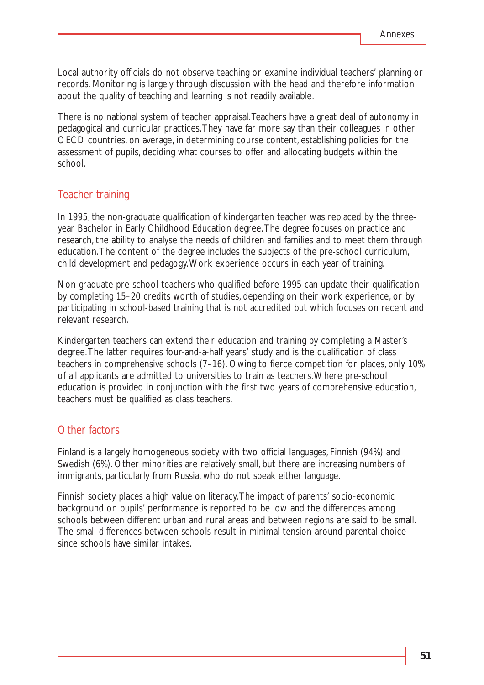Local authority officials do not observe teaching or examine individual teachers' planning or records. Monitoring is largely through discussion with the head and therefore information about the quality of teaching and learning is not readily available.

There is no national system of teacher appraisal.Teachers have a great deal of autonomy in pedagogical and curricular practices.They have far more say than their colleagues in other OECD countries, on average, in determining course content, establishing policies for the assessment of pupils, deciding what courses to offer and allocating budgets within the school.

#### Teacher training

In 1995, the non-graduate qualification of kindergarten teacher was replaced by the threeyear Bachelor in Early Childhood Education degree.The degree focuses on practice and research, the ability to analyse the needs of children and families and to meet them through education.The content of the degree includes the subjects of the pre-school curriculum, child development and pedagogy.Work experience occurs in each year of training.

Non-graduate pre-school teachers who qualified before 1995 can update their qualification by completing 15–20 credits worth of studies, depending on their work experience, or by participating in school-based training that is not accredited but which focuses on recent and relevant research.

Kindergarten teachers can extend their education and training by completing a Master's degree.The latter requires four-and-a-half years' study and is the qualification of class teachers in comprehensive schools (7–16). Owing to fierce competition for places, only 10% of all applicants are admitted to universities to train as teachers.Where pre-school education is provided in conjunction with the first two years of comprehensive education, teachers must be qualified as class teachers.

#### Other factors

Finland is a largely homogeneous society with two official languages, Finnish (94%) and Swedish (6%). Other minorities are relatively small, but there are increasing numbers of immigrants, particularly from Russia, who do not speak either language.

Finnish society places a high value on literacy.The impact of parents' socio-economic background on pupils' performance is reported to be low and the differences among schools between different urban and rural areas and between regions are said to be small. The small differences between schools result in minimal tension around parental choice since schools have similar intakes.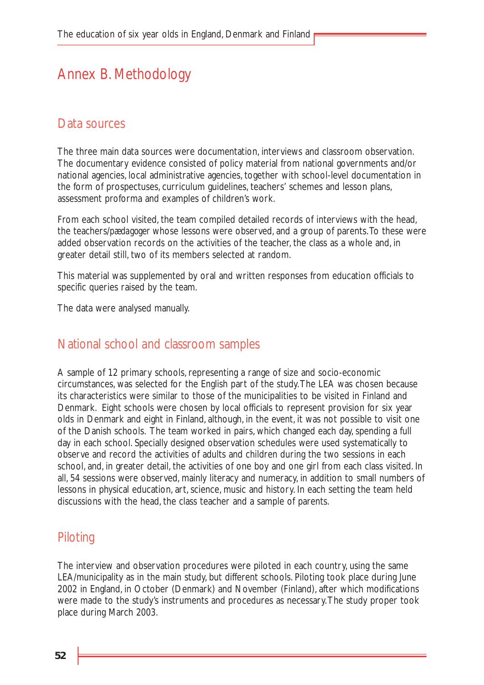# Annex B. Methodology

### Data sources

The three main data sources were documentation, interviews and classroom observation. The documentary evidence consisted of policy material from national governments and/or national agencies, local administrative agencies, together with school-level documentation in the form of prospectuses, curriculum guidelines, teachers' schemes and lesson plans, assessment proforma and examples of children's work.

From each school visited, the team compiled detailed records of interviews with the head, the teachers/*pædagoger* whose lessons were observed, and a group of parents.To these were added observation records on the activities of the teacher, the class as a whole and, in greater detail still, two of its members selected at random.

This material was supplemented by oral and written responses from education officials to specific queries raised by the team.

The data were analysed manually.

### National school and classroom samples

A sample of 12 primary schools, representing a range of size and socio-economic circumstances, was selected for the English part of the study.The LEA was chosen because its characteristics were similar to those of the municipalities to be visited in Finland and Denmark. Eight schools were chosen by local officials to represent provision for six year olds in Denmark and eight in Finland, although, in the event, it was not possible to visit one of the Danish schools. The team worked in pairs, which changed each day, spending a full day in each school. Specially designed observation schedules were used systematically to observe and record the activities of adults and children during the two sessions in each school, and, in greater detail, the activities of one boy and one girl from each class visited. In all, 54 sessions were observed, mainly literacy and numeracy, in addition to small numbers of lessons in physical education, art, science, music and history. In each setting the team held discussions with the head, the class teacher and a sample of parents.

### Piloting

The interview and observation procedures were piloted in each country, using the same LEA/municipality as in the main study, but different schools. Piloting took place during June 2002 in England, in October (Denmark) and November (Finland), after which modifications were made to the study's instruments and procedures as necessary.The study proper took place during March 2003.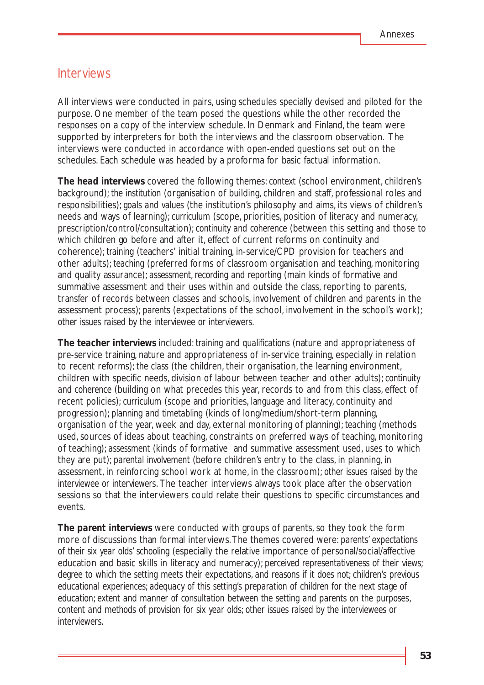#### Interviews

All interviews were conducted in pairs, using schedules specially devised and piloted for the purpose. One member of the team posed the questions while the other recorded the responses on a copy of the interview schedule. In Denmark and Finland, the team were supported by interpreters for both the interviews and the classroom observation. The interviews were conducted in accordance with open-ended questions set out on the schedules. Each schedule was headed by a proforma for basic factual information.

**The head interviews** covered the following themes: *context* (school environment, children's background); *the institution* (organisation of building, children and staff, professional roles and responsibilities); *goals and values* (the institution's philosophy and aims, its views of children's needs and ways of learning); *curriculum* (scope, priorities, position of literacy and numeracy, prescription/control/consultation); *continuity and coherence* (between this setting and those to which children go before and after it, effect of current reforms on continuity and coherence); *training* (teachers' initial training, in-service/CPD provision for teachers and other adults); *teaching* (preferred forms of classroom organisation and teaching, monitoring and quality assurance); *assessment, recording and reporting* (main kinds of formative and summative assessment and their uses within and outside the class, reporting to parents, transfer of records between classes and schools, involvement of children and parents in the assessment process); *parents* (expectations of the school, involvement in the school's work); *other issues raised by the interviewee or interviewers*.

*The teacher interviews* included: *training and qualifications* (nature and appropriateness of pre-service training, nature and appropriateness of in-service training, especially in relation to recent reforms); *the class* (the children, their organisation, the learning environment, children with specific needs, division of labour between teacher and other adults); *continuity and coherence* (building on what precedes this year, records to and from this class, effect of recent policies); *curriculum* (scope and priorities, language and literacy, continuity and progression); *planning and timetabling* (kinds of long/medium/short-term planning, organisation of the year, week and day, external monitoring of planning); *teaching* (methods used, sources of ideas about teaching, constraints on preferred ways of teaching, monitoring of teaching); *assessment* (kinds of formative and summative assessment used, uses to which they are put); *parental involvement* (before children's entry to the class, in planning, in assessment, in reinforcing school work at home, in the classroom); *other issues raised by the interviewee or interviewers.* The teacher interviews always took place after the observation sessions so that the interviewers could relate their questions to specific circumstances and events.

*The parent interviews* were conducted with groups of parents, so they took the form more of discussions than formal interviews.The themes covered were: *parents' expectations of their six year olds' schooling (*especially the relative importance of personal/social/affective education and basic skills in literacy and numeracy); *perceived representativeness of their views*; *degree to which the setting meets their expectations, and reasons if it does not*; *children's previous educational experiences*; *adequacy of this setting's preparation of children for the next stage of education*; *extent and manner of consultation between the setting and parents on the purposes, content and methods of provision for six year olds*; *other issues raised by the interviewees or interviewers.*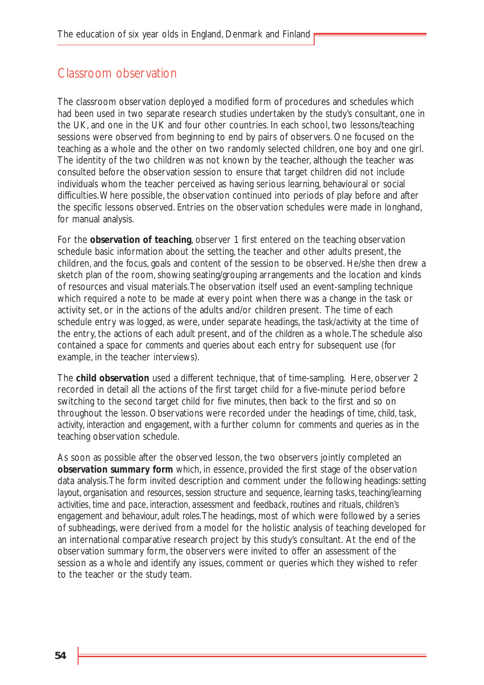### Classroom observation

The classroom observation deployed a modified form of procedures and schedules which had been used in two separate research studies undertaken by the study's consultant, one in the UK, and one in the UK and four other countries. In each school, two lessons/teaching sessions were observed from beginning to end by pairs of observers. One focused on the teaching as a whole and the other on two randomly selected children, one boy and one girl. The identity of the two children was not known by the teacher, although the teacher was consulted before the observation session to ensure that target children did not include individuals whom the teacher perceived as having serious learning, behavioural or social difficulties.Where possible, the observation continued into periods of play before and after the specific lessons observed. Entries on the observation schedules were made in longhand, for manual analysis.

For the *observation of teaching*, observer 1 first entered on the teaching observation schedule basic information about the setting, the teacher and other adults present, the children, and the focus, goals and content of the session to be observed. He/she then drew a sketch plan of the room, showing seating/grouping arrangements and the location and kinds of resources and visual materials.The observation itself used an event-sampling technique which required a note to be made at every point when there was a change in the task or activity set, or in the actions of the adults and/or children present. The time of each schedule entry was logged, as were, under separate headings, the *task/activity* at the time of the entry, the actions of each *adult* present, and of the *children* as a whole.The schedule also contained a space for *comments and queries* about each entry for subsequent use (for example, in the teacher interviews).

The *child observation* used a different technique, that of time-sampling. Here, observer 2 recorded in detail all the actions of the first target child for a five-minute period before switching to the second target child for five minutes, then back to the first and so on throughout the lesson. Observations were recorded under the headings of *time*, *child*, *task, activity*, *interaction* and *engagement*, with a further column for *comments and queries* as in the teaching observation schedule.

As soon as possible after the observed lesson, the two observers jointly completed an *observation summary form* which, in essence, provided the first stage of the observation data analysis.The form invited description and comment under the following headings: *setting layout, organisation and resources, session structure and sequence, learning tasks, teaching/learning activities, time and pace, interaction, assessment and feedback, routines and rituals, children's engagement and behaviour, adult roles*.The headings, most of which were followed by a series of subheadings, were derived from a model for the holistic analysis of teaching developed for an international comparative research project by this study's consultant. At the end of the observation summary form, the observers were invited to offer an assessment of the session as a whole and identify any issues, comment or queries which they wished to refer to the teacher or the study team.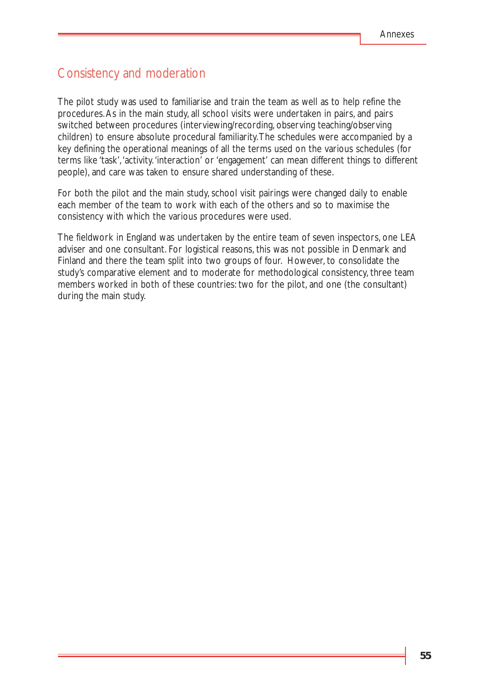### Consistency and moderation

The pilot study was used to familiarise and train the team as well as to help refine the procedures.As in the main study, all school visits were undertaken in pairs, and pairs switched between procedures (interviewing/recording, observing teaching/observing children) to ensure absolute procedural familiarity.The schedules were accompanied by a key defining the operational meanings of all the terms used on the various schedules (for terms like 'task','activity.'interaction' or 'engagement' can mean different things to different people), and care was taken to ensure shared understanding of these.

For both the pilot and the main study, school visit pairings were changed daily to enable each member of the team to work with each of the others and so to maximise the consistency with which the various procedures were used.

The fieldwork in England was undertaken by the entire team of seven inspectors, one LEA adviser and one consultant. For logistical reasons, this was not possible in Denmark and Finland and there the team split into two groups of four. However, to consolidate the study's comparative element and to moderate for methodological consistency, three team members worked in both of these countries: two for the pilot, and one (the consultant) during the main study.